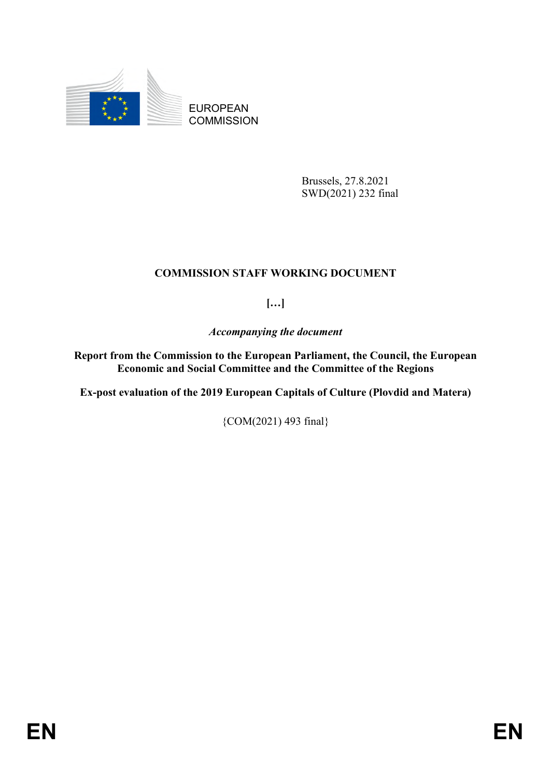

EUROPEAN **COMMISSION** 

> Brussels, 27.8.2021 SWD(2021) 232 final

## **COMMISSION STAFF WORKING DOCUMENT**

**[…]**

*Accompanying the document*

**Report from the Commission to the European Parliament, the Council, the European Economic and Social Committee and the Committee of the Regions** 

**Ex-post evaluation of the 2019 European Capitals of Culture (Plovdid and Matera)** 

{COM(2021) 493 final}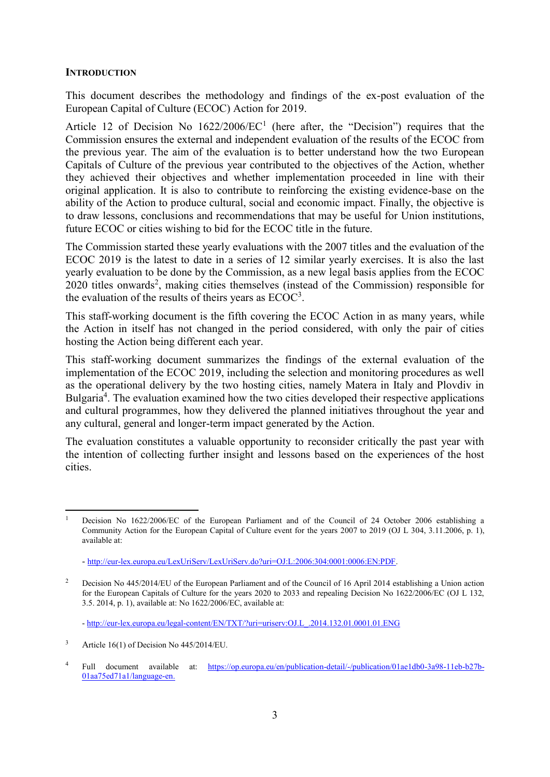#### **INTRODUCTION**

This document describes the methodology and findings of the ex-post evaluation of the European Capital of Culture (ECOC) Action for 2019.

Article 12 of Decision No  $1622/2006/EC<sup>1</sup>$  (here after, the "Decision") requires that the Commission ensures the external and independent evaluation of the results of the ECOC from the previous year. The aim of the evaluation is to better understand how the two European Capitals of Culture of the previous year contributed to the objectives of the Action, whether they achieved their objectives and whether implementation proceeded in line with their original application. It is also to contribute to reinforcing the existing evidence-base on the ability of the Action to produce cultural, social and economic impact. Finally, the objective is to draw lessons, conclusions and recommendations that may be useful for Union institutions, future ECOC or cities wishing to bid for the ECOC title in the future.

The Commission started these yearly evaluations with the 2007 titles and the evaluation of the ECOC 2019 is the latest to date in a series of 12 similar yearly exercises. It is also the last yearly evaluation to be done by the Commission, as a new legal basis applies from the ECOC 2020 titles onwards<sup>2</sup>, making cities themselves (instead of the Commission) responsible for the evaluation of the results of theirs years as  $ECOC<sup>3</sup>$ .

This staff-working document is the fifth covering the ECOC Action in as many years, while the Action in itself has not changed in the period considered, with only the pair of cities hosting the Action being different each year.

This staff-working document summarizes the findings of the external evaluation of the implementation of the ECOC 2019, including the selection and monitoring procedures as well as the operational delivery by the two hosting cities, namely Matera in Italy and Plovdiv in Bulgaria<sup>4</sup>. The evaluation examined how the two cities developed their respective applications and cultural programmes, how they delivered the planned initiatives throughout the year and any cultural, general and longer-term impact generated by the Action.

The evaluation constitutes a valuable opportunity to reconsider critically the past year with the intention of collecting further insight and lessons based on the experiences of the host cities.

 $\overline{\phantom{a}}$ 

<sup>1</sup> Decision No 1622/2006/EC of the European Parliament and of the Council of 24 October 2006 establishing a Community Action for the European Capital of Culture event for the years 2007 to 2019 (OJ L 304, 3.11.2006, p. 1), available at:

<sup>-</sup> [http://eur-lex.europa.eu/LexUriServ/LexUriServ.do?uri=OJ:L:2006:304:0001:0006:EN:PDF.](http://eur-lex.europa.eu/LexUriServ/LexUriServ.do?uri=OJ:L:2006:304:0001:0006:EN:PDF)

<sup>&</sup>lt;sup>2</sup> Decision No 445/2014/EU of the European Parliament and of the Council of 16 April 2014 establishing a Union action for the European Capitals of Culture for the years 2020 to 2033 and repealing Decision No 1622/2006/EC (OJ L 132, 3.5. 2014, p. 1), available at: No 1622/2006/EC, available at:

<sup>-</sup> [http://eur-lex.europa.eu/legal-content/EN/TXT/?uri=uriserv:OJ.L\\_.2014.132.01.0001.01.ENG](http://eur-lex.europa.eu/legal-content/EN/TXT/?uri=uriserv:OJ.L_.2014.132.01.0001.01.ENG)

 $3$  Article 16(1) of Decision No 445/2014/EU.

<sup>4</sup> Full document available at: https://op.europa.eu/en/publication-detail/-/publication/01ae1db0-3a98-11eb-b27b-01aa75ed71a1/language-en.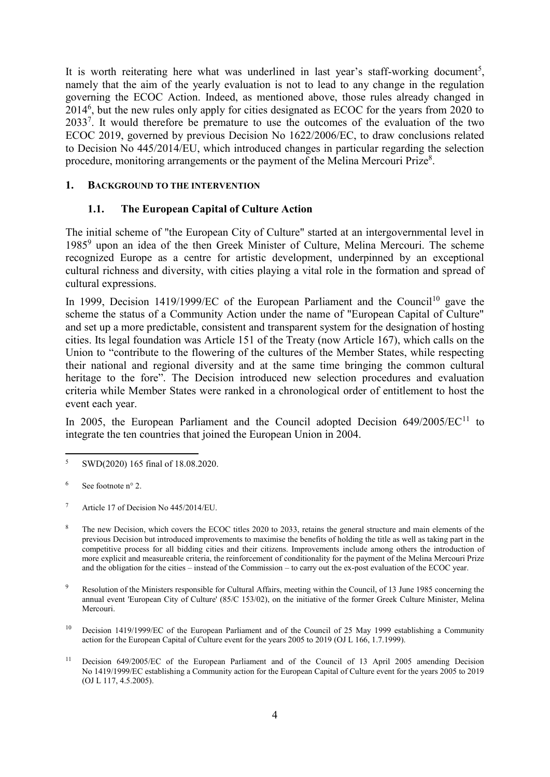It is worth reiterating here what was underlined in last year's staff-working document<sup>5</sup>, namely that the aim of the yearly evaluation is not to lead to any change in the regulation governing the ECOC Action. Indeed, as mentioned above, those rules already changed in  $2014<sup>6</sup>$ , but the new rules only apply for cities designated as ECOC for the years from 2020 to 2033<sup>7</sup>. It would therefore be premature to use the outcomes of the evaluation of the two ECOC 2019, governed by previous Decision No 1622/2006/EC, to draw conclusions related to Decision No 445/2014/EU, which introduced changes in particular regarding the selection procedure, monitoring arrangements or the payment of the Melina Mercouri Prize<sup>8</sup>.

### **1. BACKGROUND TO THE INTERVENTION**

## **1.1. The European Capital of Culture Action**

The initial scheme of "the European City of Culture" started at an intergovernmental level in 1985<sup>9</sup> upon an idea of the then Greek Minister of Culture, Melina Mercouri. The scheme recognized Europe as a centre for artistic development, underpinned by an exceptional cultural richness and diversity, with cities playing a vital role in the formation and spread of cultural expressions.

In 1999, Decision 1419/1999/EC of the European Parliament and the Council<sup>10</sup> gave the scheme the status of a Community Action under the name of "European Capital of Culture" and set up a more predictable, consistent and transparent system for the designation of hosting cities. Its legal foundation was Article 151 of the Treaty (now Article 167), which calls on the Union to "contribute to the flowering of the cultures of the Member States, while respecting their national and regional diversity and at the same time bringing the common cultural heritage to the fore". The Decision introduced new selection procedures and evaluation criteria while Member States were ranked in a chronological order of entitlement to host the event each year.

In 2005, the European Parliament and the Council adopted Decision  $649/2005/EC<sup>11</sup>$  to integrate the ten countries that joined the European Union in 2004.

 $\overline{\phantom{a}}$ <sup>5</sup> SWD(2020) 165 final of 18.08.2020.

 $6$  See footnote n° 2.

<sup>7</sup> Article 17 of Decision No 445/2014/EU.

<sup>&</sup>lt;sup>8</sup> The new Decision, which covers the ECOC titles 2020 to 2033, retains the general structure and main elements of the previous Decision but introduced improvements to maximise the benefits of holding the title as well as taking part in the competitive process for all bidding cities and their citizens. Improvements include among others the introduction of more explicit and measureable criteria, the reinforcement of conditionality for the payment of the Melina Mercouri Prize and the obligation for the cities – instead of the Commission – to carry out the ex-post evaluation of the ECOC year.

<sup>&</sup>lt;sup>9</sup> Resolution of the Ministers responsible for Cultural Affairs, meeting within the Council, of 13 June 1985 concerning the annual event 'European City of Culture' (85/C 153/02), on the initiative of the former Greek Culture Minister, Melina Mercouri.

<sup>&</sup>lt;sup>10</sup> Decision 1419/1999/EC of the European Parliament and of the Council of 25 May 1999 establishing a Community action for the European Capital of Culture event for the years 2005 to 2019 (OJ L 166, 1.7.1999).

<sup>&</sup>lt;sup>11</sup> Decision 649/2005/EC of the European Parliament and of the Council of 13 April 2005 amending Decision No 1419/1999/EC establishing a Community action for the European Capital of Culture event for the years 2005 to 2019 (OJ L 117, 4.5.2005).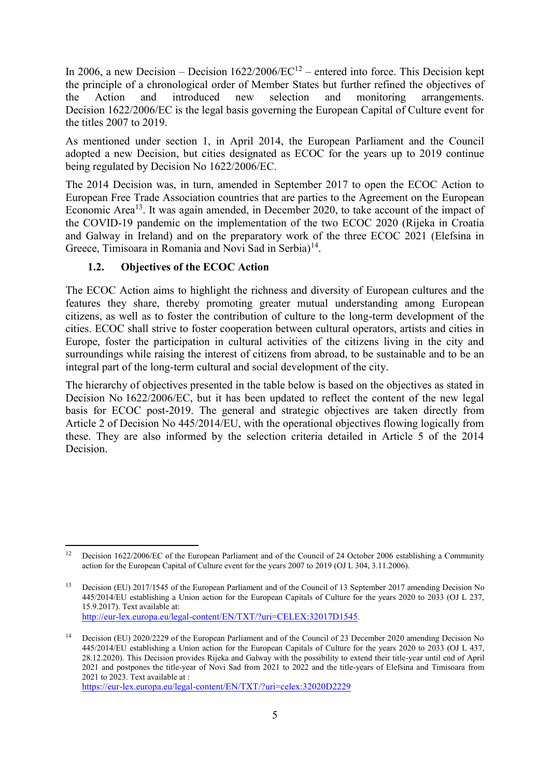In 2006, a new Decision – Decision  $1622/2006/EC^{12}$  – entered into force. This Decision kept the principle of a chronological order of Member States but further refined the objectives of the Action and introduced new selection and monitoring arrangements. Decision 1622/2006/EC is the legal basis governing the European Capital of Culture event for the titles 2007 to 2019.

As mentioned under section 1, in April 2014, the European Parliament and the Council adopted a new Decision, but cities designated as ECOC for the years up to 2019 continue being regulated by Decision No 1622/2006/EC.

The 2014 Decision was, in turn, amended in September 2017 to open the ECOC Action to European Free Trade Association countries that are parties to the Agreement on the European Economic Area<sup>13</sup>. It was again amended, in December 2020, to take account of the impact of the COVID-19 pandemic on the implementation of the two ECOC 2020 (Rijeka in Croatia and Galway in Ireland) and on the preparatory work of the three ECOC 2021 (Elefsina in Greece, Timisoara in Romania and Novi Sad in Serbia)<sup>14</sup>.

## **1.2. Objectives of the ECOC Action**

The ECOC Action aims to highlight the richness and diversity of European cultures and the features they share, thereby promoting greater mutual understanding among European citizens, as well as to foster the contribution of culture to the long-term development of the cities. ECOC shall strive to foster cooperation between cultural operators, artists and cities in Europe, foster the participation in cultural activities of the citizens living in the city and surroundings while raising the interest of citizens from abroad, to be sustainable and to be an integral part of the long-term cultural and social development of the city.

The hierarchy of objectives presented in the table below is based on the objectives as stated in Decision No 1622/2006/EC, but it has been updated to reflect the content of the new legal basis for ECOC post-2019. The general and strategic objectives are taken directly from Article 2 of Decision No 445/2014/EU, with the operational objectives flowing logically from these. They are also informed by the selection criteria detailed in Article 5 of the 2014 Decision.

<https://eur-lex.europa.eu/legal-content/EN/TXT/?uri=celex:32020D2229>

 $\overline{\phantom{a}}$ <sup>12</sup> Decision 1622/2006/EC of the European Parliament and of the Council of 24 October 2006 establishing a Community action for the European Capital of Culture event for the years 2007 to 2019 (OJ L 304, 3.11.2006).

<sup>&</sup>lt;sup>13</sup> Decision (EU) 2017/1545 of the European Parliament and of the Council of 13 September 2017 amending Decision No 445/2014/EU establishing a Union action for the European Capitals of Culture for the years 2020 to 2033 (OJ L 237, 15.9.2017). Text available at: <http://eur-lex.europa.eu/legal-content/EN/TXT/?uri=CELEX:32017D1545>.

<sup>14</sup> Decision (EU) 2020/2229 of the European Parliament and of the Council of 23 December 2020 amending Decision No 445/2014/EU establishing a Union action for the European Capitals of Culture for the years 2020 to 2033 (OJ L 437, 28.12.2020). This Decision provides Rijeka and Galway with the possibility to extend their title-year until end of April 2021 and postpones the title-year of Novi Sad from 2021 to 2022 and the title-years of Elefsina and Timisoara from 2021 to 2023. Text available at :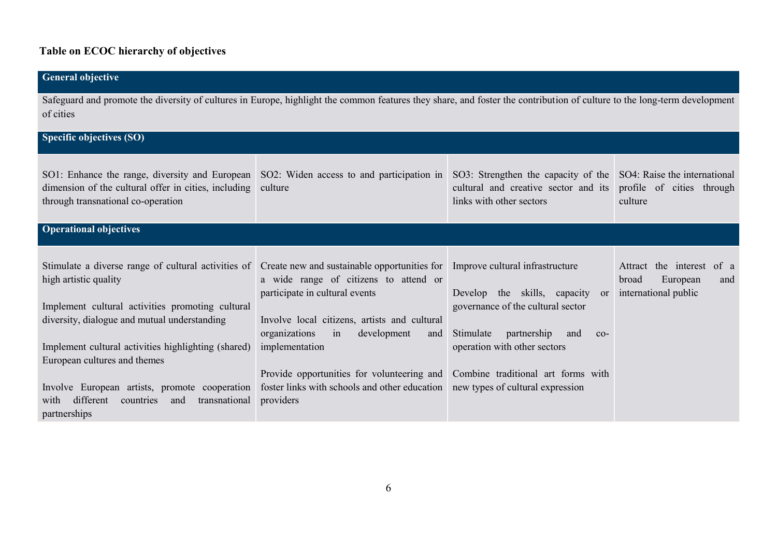# **Table on ECOC hierarchy of objectives**

| <b>General objective</b>                                                                                                                                                                                                                                                                                                                                                                           |                                                                                                                                                                                                                                                                                                                                                    |                                                                                                                                                                                                                                                                             |                                                                                     |
|----------------------------------------------------------------------------------------------------------------------------------------------------------------------------------------------------------------------------------------------------------------------------------------------------------------------------------------------------------------------------------------------------|----------------------------------------------------------------------------------------------------------------------------------------------------------------------------------------------------------------------------------------------------------------------------------------------------------------------------------------------------|-----------------------------------------------------------------------------------------------------------------------------------------------------------------------------------------------------------------------------------------------------------------------------|-------------------------------------------------------------------------------------|
| Safeguard and promote the diversity of cultures in Europe, highlight the common features they share, and foster the contribution of culture to the long-term development<br>of cities                                                                                                                                                                                                              |                                                                                                                                                                                                                                                                                                                                                    |                                                                                                                                                                                                                                                                             |                                                                                     |
| Specific objectives (SO)                                                                                                                                                                                                                                                                                                                                                                           |                                                                                                                                                                                                                                                                                                                                                    |                                                                                                                                                                                                                                                                             |                                                                                     |
| SO1: Enhance the range, diversity and European<br>dimension of the cultural offer in cities, including<br>through transnational co-operation                                                                                                                                                                                                                                                       | SO2: Widen access to and participation in SO3: Strengthen the capacity of the<br>cultural and creative sector and its<br>culture<br>links with other sectors                                                                                                                                                                                       |                                                                                                                                                                                                                                                                             | SO4: Raise the international<br>profile of cities through<br>culture                |
| <b>Operational objectives</b>                                                                                                                                                                                                                                                                                                                                                                      |                                                                                                                                                                                                                                                                                                                                                    |                                                                                                                                                                                                                                                                             |                                                                                     |
| Stimulate a diverse range of cultural activities of<br>high artistic quality<br>Implement cultural activities promoting cultural<br>diversity, dialogue and mutual understanding<br>Implement cultural activities highlighting (shared)<br>European cultures and themes<br>Involve European artists, promote cooperation<br>different<br>countries<br>transnational<br>with<br>and<br>partnerships | Create new and sustainable opportunities for<br>a wide range of citizens to attend or<br>participate in cultural events<br>Involve local citizens, artists and cultural<br>organizations<br>development<br>in<br>and<br>implementation<br>Provide opportunities for volunteering and<br>foster links with schools and other education<br>providers | Improve cultural infrastructure<br>Develop the skills, capacity<br><sub>or</sub><br>governance of the cultural sector<br>Stimulate<br>partnership<br>and<br>$CO-$<br>operation with other sectors<br>Combine traditional art forms with<br>new types of cultural expression | the interest<br>Attract<br>of a<br>European<br>broad<br>and<br>international public |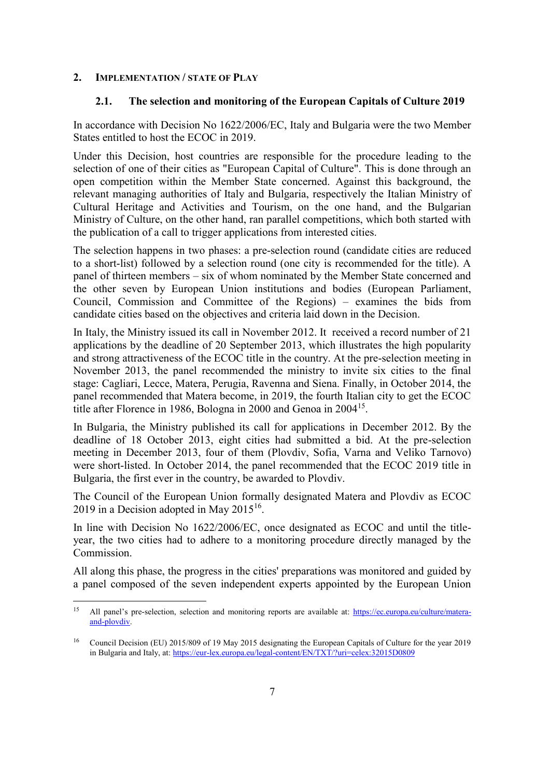#### **2. IMPLEMENTATION / STATE OF PLAY**

#### **2.1. The selection and monitoring of the European Capitals of Culture 2019**

In accordance with Decision No 1622/2006/EC, Italy and Bulgaria were the two Member States entitled to host the ECOC in 2019.

Under this Decision, host countries are responsible for the procedure leading to the selection of one of their cities as "European Capital of Culture". This is done through an open competition within the Member State concerned. Against this background, the relevant managing authorities of Italy and Bulgaria, respectively the Italian Ministry of Cultural Heritage and Activities and Tourism, on the one hand, and the Bulgarian Ministry of Culture, on the other hand, ran parallel competitions, which both started with the publication of a call to trigger applications from interested cities.

The selection happens in two phases: a pre-selection round (candidate cities are reduced to a short-list) followed by a selection round (one city is recommended for the title). A panel of thirteen members – six of whom nominated by the Member State concerned and the other seven by European Union institutions and bodies (European Parliament, Council, Commission and Committee of the Regions) – examines the bids from candidate cities based on the objectives and criteria laid down in the Decision.

In Italy, the Ministry issued its call in November 2012. It received a record number of 21 applications by the deadline of 20 September 2013, which illustrates the high popularity and strong attractiveness of the ECOC title in the country. At the pre-selection meeting in November 2013, the panel recommended the ministry to invite six cities to the final stage: Cagliari, Lecce, Matera, Perugia, Ravenna and Siena. Finally, in October 2014, the panel recommended that Matera become, in 2019, the fourth Italian city to get the ECOC title after Florence in 1986, Bologna in 2000 and Genoa in 2004<sup>15</sup>.

In Bulgaria, the Ministry published its call for applications in December 2012. By the deadline of 18 October 2013, eight cities had submitted a bid. At the pre-selection meeting in December 2013, four of them (Plovdiv, Sofia, Varna and Veliko Tarnovo) were short-listed. In October 2014, the panel recommended that the ECOC 2019 title in Bulgaria, the first ever in the country, be awarded to Plovdiv.

The Council of the European Union formally designated Matera and Plovdiv as ECOC 2019 in a Decision adopted in May  $2015^{16}$ .

In line with Decision No 1622/2006/EC, once designated as ECOC and until the titleyear, the two cities had to adhere to a monitoring procedure directly managed by the Commission.

All along this phase, the progress in the cities' preparations was monitored and guided by a panel composed of the seven independent experts appointed by the European Union

<sup>15</sup> <sup>15</sup> All panel's pre-selection, selection and monitoring reports are available at: https://ec.europa.eu/culture/materaand-plovdiv.

<sup>&</sup>lt;sup>16</sup> Council Decision (EU) 2015/809 of 19 May 2015 designating the European Capitals of Culture for the year 2019 in Bulgaria and Italy, at:<https://eur-lex.europa.eu/legal-content/EN/TXT/?uri=celex:32015D0809>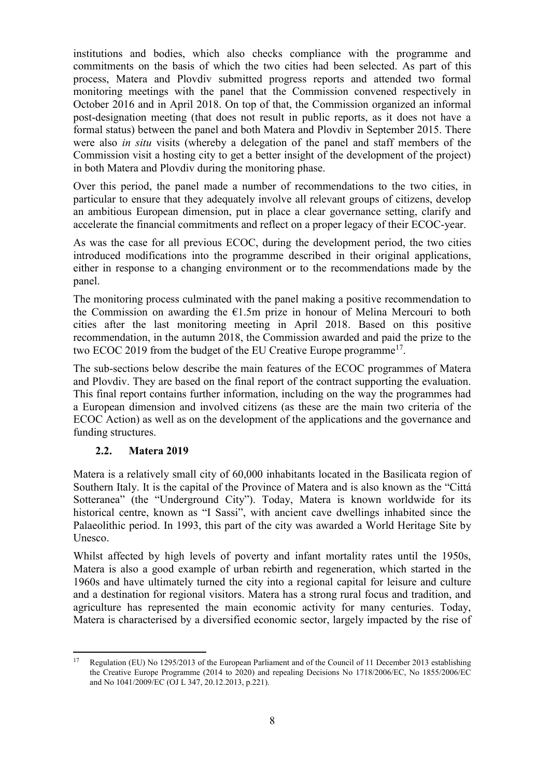institutions and bodies, which also checks compliance with the programme and commitments on the basis of which the two cities had been selected. As part of this process, Matera and Plovdiv submitted progress reports and attended two formal monitoring meetings with the panel that the Commission convened respectively in October 2016 and in April 2018. On top of that, the Commission organized an informal post-designation meeting (that does not result in public reports, as it does not have a formal status) between the panel and both Matera and Plovdiv in September 2015. There were also *in situ* visits (whereby a delegation of the panel and staff members of the Commission visit a hosting city to get a better insight of the development of the project) in both Matera and Plovdiv during the monitoring phase.

Over this period, the panel made a number of recommendations to the two cities, in particular to ensure that they adequately involve all relevant groups of citizens, develop an ambitious European dimension, put in place a clear governance setting, clarify and accelerate the financial commitments and reflect on a proper legacy of their ECOC-year.

As was the case for all previous ECOC, during the development period, the two cities introduced modifications into the programme described in their original applications, either in response to a changing environment or to the recommendations made by the panel.

The monitoring process culminated with the panel making a positive recommendation to the Commission on awarding the  $E1.5m$  prize in honour of Melina Mercouri to both cities after the last monitoring meeting in April 2018. Based on this positive recommendation, in the autumn 2018, the Commission awarded and paid the prize to the two ECOC 2019 from the budget of the EU Creative Europe programme<sup>17</sup>.

The sub-sections below describe the main features of the ECOC programmes of Matera and Plovdiv. They are based on the final report of the contract supporting the evaluation. This final report contains further information, including on the way the programmes had a European dimension and involved citizens (as these are the main two criteria of the ECOC Action) as well as on the development of the applications and the governance and funding structures.

## **2.2. Matera 2019**

Matera is a relatively small city of 60,000 inhabitants located in the Basilicata region of Southern Italy. It is the capital of the Province of Matera and is also known as the "Cittá Sotteranea" (the "Underground City"). Today, Matera is known worldwide for its historical centre, known as "I Sassi", with ancient cave dwellings inhabited since the Palaeolithic period. In 1993, this part of the city was awarded a World Heritage Site by Unesco.

Whilst affected by high levels of poverty and infant mortality rates until the 1950s, Matera is also a good example of urban rebirth and regeneration, which started in the 1960s and have ultimately turned the city into a regional capital for leisure and culture and a destination for regional visitors. Matera has a strong rural focus and tradition, and agriculture has represented the main economic activity for many centuries. Today, Matera is characterised by a diversified economic sector, largely impacted by the rise of

<sup>17</sup> Regulation (EU) No 1295/2013 of the European Parliament and of the Council of 11 December 2013 establishing the Creative Europe Programme (2014 to 2020) and repealing Decisions No 1718/2006/EC, No 1855/2006/EC and No 1041/2009/EC (OJ L 347, 20.12.2013, p.221).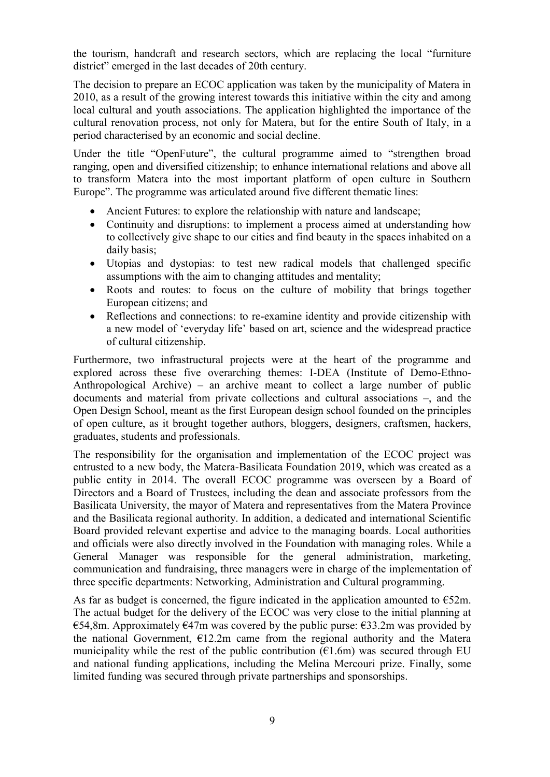the tourism, handcraft and research sectors, which are replacing the local "furniture district" emerged in the last decades of 20th century.

The decision to prepare an ECOC application was taken by the municipality of Matera in 2010, as a result of the growing interest towards this initiative within the city and among local cultural and youth associations. The application highlighted the importance of the cultural renovation process, not only for Matera, but for the entire South of Italy, in a period characterised by an economic and social decline.

Under the title "OpenFuture", the cultural programme aimed to "strengthen broad ranging, open and diversified citizenship; to enhance international relations and above all to transform Matera into the most important platform of open culture in Southern Europe". The programme was articulated around five different thematic lines:

- Ancient Futures: to explore the relationship with nature and landscape;
- Continuity and disruptions: to implement a process aimed at understanding how to collectively give shape to our cities and find beauty in the spaces inhabited on a daily basis;
- Utopias and dystopias: to test new radical models that challenged specific assumptions with the aim to changing attitudes and mentality;
- Roots and routes: to focus on the culture of mobility that brings together European citizens; and
- Reflections and connections: to re-examine identity and provide citizenship with a new model of 'everyday life' based on art, science and the widespread practice of cultural citizenship.

Furthermore, two infrastructural projects were at the heart of the programme and explored across these five overarching themes: I-DEA (Institute of Demo-Ethno-Anthropological Archive) – an archive meant to collect a large number of public documents and material from private collections and cultural associations –, and the Open Design School, meant as the first European design school founded on the principles of open culture, as it brought together authors, bloggers, designers, craftsmen, hackers, graduates, students and professionals.

The responsibility for the organisation and implementation of the ECOC project was entrusted to a new body, the Matera-Basilicata Foundation 2019, which was created as a public entity in 2014. The overall ECOC programme was overseen by a Board of Directors and a Board of Trustees, including the dean and associate professors from the Basilicata University, the mayor of Matera and representatives from the Matera Province and the Basilicata regional authority. In addition, a dedicated and international Scientific Board provided relevant expertise and advice to the managing boards. Local authorities and officials were also directly involved in the Foundation with managing roles. While a General Manager was responsible for the general administration, marketing, communication and fundraising, three managers were in charge of the implementation of three specific departments: Networking, Administration and Cultural programming.

As far as budget is concerned, the figure indicated in the application amounted to  $\epsilon$ 52m. The actual budget for the delivery of the ECOC was very close to the initial planning at €54,8m. Approximately  $€47m$  was covered by the public purse:  $€33.2m$  was provided by the national Government,  $E12.2m$  came from the regional authority and the Matera municipality while the rest of the public contribution  $(\epsilon 1.6m)$  was secured through EU and national funding applications, including the Melina Mercouri prize. Finally, some limited funding was secured through private partnerships and sponsorships.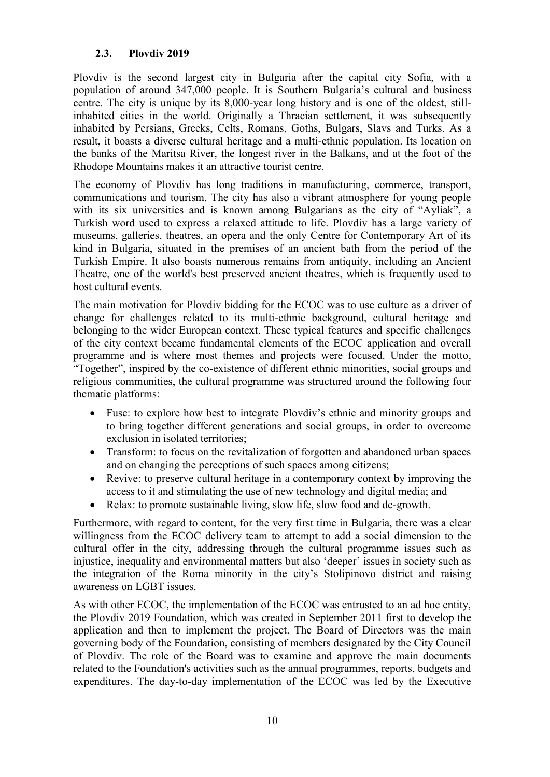## **2.3. Plovdiv 2019**

Plovdiv is the second largest city in Bulgaria after the capital city Sofia, with a population of around 347,000 people. It is Southern Bulgaria's cultural and business centre. The city is unique by its 8,000-year long history and is one of the oldest, stillinhabited cities in the world. Originally a Thracian settlement, it was subsequently inhabited by Persians, Greeks, Celts, Romans, Goths, Bulgars, Slavs and Turks. As a result, it boasts a diverse cultural heritage and a multi-ethnic population. Its location on the banks of the Maritsa River, the longest river in the Balkans, and at the foot of the Rhodope Mountains makes it an attractive tourist centre.

The economy of Plovdiv has long traditions in manufacturing, commerce, transport, communications and tourism. The city has also a vibrant atmosphere for young people with its six universities and is known among Bulgarians as the city of "Ayliak", a Turkish word used to express a relaxed attitude to life. Plovdiv has a large variety of museums, galleries, theatres, an opera and the only Centre for Contemporary Art of its kind in Bulgaria, situated in the premises of an ancient bath from the period of the Turkish Empire. It also boasts numerous remains from antiquity, including an Ancient Theatre, one of the world's best preserved ancient theatres, which is frequently used to host cultural events.

The main motivation for Plovdiv bidding for the ECOC was to use culture as a driver of change for challenges related to its multi-ethnic background, cultural heritage and belonging to the wider European context. These typical features and specific challenges of the city context became fundamental elements of the ECOC application and overall programme and is where most themes and projects were focused. Under the motto, "Together", inspired by the co-existence of different ethnic minorities, social groups and religious communities, the cultural programme was structured around the following four thematic platforms:

- Fuse: to explore how best to integrate Plovdiv's ethnic and minority groups and to bring together different generations and social groups, in order to overcome exclusion in isolated territories;
- Transform: to focus on the revitalization of forgotten and abandoned urban spaces and on changing the perceptions of such spaces among citizens;
- Revive: to preserve cultural heritage in a contemporary context by improving the access to it and stimulating the use of new technology and digital media; and
- Relax: to promote sustainable living, slow life, slow food and de-growth.

Furthermore, with regard to content, for the very first time in Bulgaria, there was a clear willingness from the ECOC delivery team to attempt to add a social dimension to the cultural offer in the city, addressing through the cultural programme issues such as injustice, inequality and environmental matters but also 'deeper' issues in society such as the integration of the Roma minority in the city's Stolipinovo district and raising awareness on LGBT issues.

As with other ECOC, the implementation of the ECOC was entrusted to an ad hoc entity, the Plovdiv 2019 Foundation, which was created in September 2011 first to develop the application and then to implement the project. The Board of Directors was the main governing body of the Foundation, consisting of members designated by the City Council of Plovdiv. The role of the Board was to examine and approve the main documents related to the Foundation's activities such as the annual programmes, reports, budgets and expenditures. The day-to-day implementation of the ECOC was led by the Executive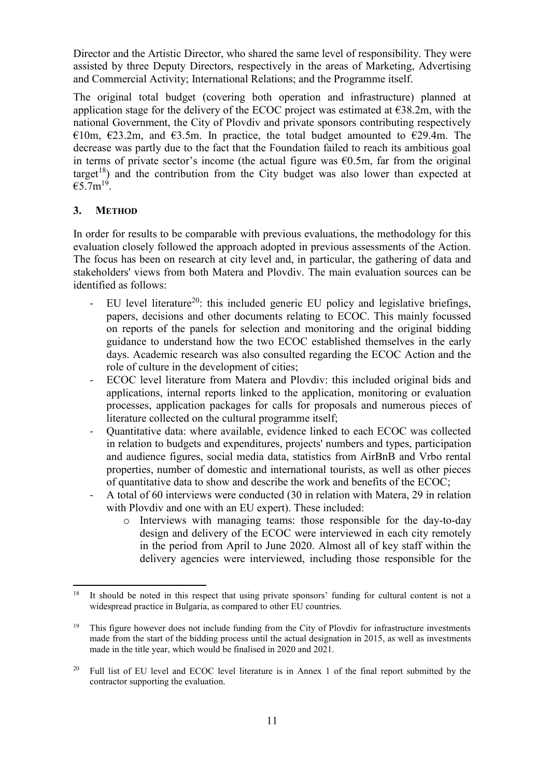Director and the Artistic Director, who shared the same level of responsibility. They were assisted by three Deputy Directors, respectively in the areas of Marketing, Advertising and Commercial Activity; International Relations; and the Programme itself.

The original total budget (covering both operation and infrastructure) planned at application stage for the delivery of the ECOC project was estimated at  $\epsilon$ 38.2m, with the national Government, the City of Plovdiv and private sponsors contributing respectively €10m,  $€23.2m$ , and  $€3.5m$ . In practice, the total budget amounted to  $€29.4m$ . The decrease was partly due to the fact that the Foundation failed to reach its ambitious goal in terms of private sector's income (the actual figure was  $\epsilon$ 0.5m, far from the original target<sup>18</sup>) and the contribution from the City budget was also lower than expected at  $€5.7m^{19}.$ 

## **3. METHOD**

In order for results to be comparable with previous evaluations, the methodology for this evaluation closely followed the approach adopted in previous assessments of the Action. The focus has been on research at city level and, in particular, the gathering of data and stakeholders' views from both Matera and Plovdiv. The main evaluation sources can be identified as follows:

- EU level literature<sup>20</sup>: this included generic EU policy and legislative briefings, papers, decisions and other documents relating to ECOC. This mainly focussed on reports of the panels for selection and monitoring and the original bidding guidance to understand how the two ECOC established themselves in the early days. Academic research was also consulted regarding the ECOC Action and the role of culture in the development of cities;
- ECOC level literature from Matera and Plovdiv: this included original bids and applications, internal reports linked to the application, monitoring or evaluation processes, application packages for calls for proposals and numerous pieces of literature collected on the cultural programme itself;
- Quantitative data: where available, evidence linked to each ECOC was collected in relation to budgets and expenditures, projects' numbers and types, participation and audience figures, social media data, statistics from AirBnB and Vrbo rental properties, number of domestic and international tourists, as well as other pieces of quantitative data to show and describe the work and benefits of the ECOC;
- A total of 60 interviews were conducted (30 in relation with Matera, 29 in relation with Plovdiv and one with an EU expert). These included:
	- o Interviews with managing teams: those responsible for the day-to-day design and delivery of the ECOC were interviewed in each city remotely in the period from April to June 2020. Almost all of key staff within the delivery agencies were interviewed, including those responsible for the

 $\overline{a}$ <sup>18</sup> It should be noted in this respect that using private sponsors' funding for cultural content is not a widespread practice in Bulgaria, as compared to other EU countries.

<sup>&</sup>lt;sup>19</sup> This figure however does not include funding from the City of Plovdiv for infrastructure investments made from the start of the bidding process until the actual designation in 2015, as well as investments made in the title year, which would be finalised in 2020 and 2021.

<sup>&</sup>lt;sup>20</sup> Full list of EU level and ECOC level literature is in Annex 1 of the final report submitted by the contractor supporting the evaluation.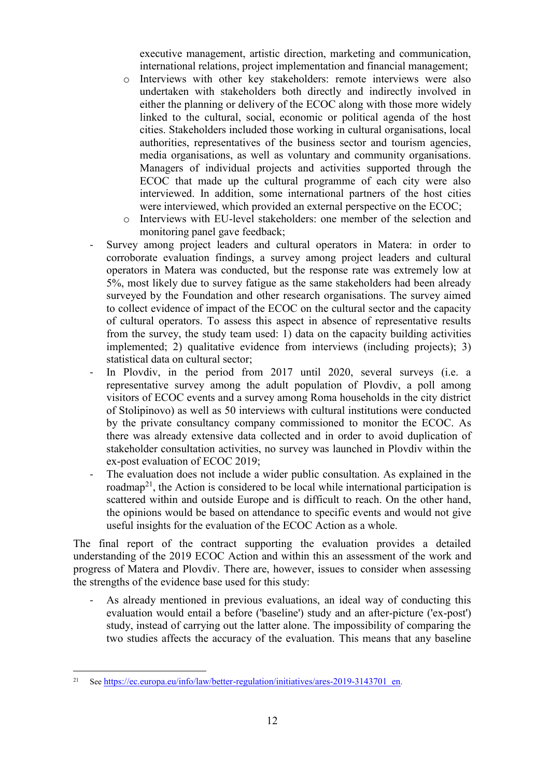executive management, artistic direction, marketing and communication, international relations, project implementation and financial management;

- o Interviews with other key stakeholders: remote interviews were also undertaken with stakeholders both directly and indirectly involved in either the planning or delivery of the ECOC along with those more widely linked to the cultural, social, economic or political agenda of the host cities. Stakeholders included those working in cultural organisations, local authorities, representatives of the business sector and tourism agencies, media organisations, as well as voluntary and community organisations. Managers of individual projects and activities supported through the ECOC that made up the cultural programme of each city were also interviewed. In addition, some international partners of the host cities were interviewed, which provided an external perspective on the ECOC;
- o Interviews with EU-level stakeholders: one member of the selection and monitoring panel gave feedback;
- Survey among project leaders and cultural operators in Matera: in order to corroborate evaluation findings, a survey among project leaders and cultural operators in Matera was conducted, but the response rate was extremely low at 5%, most likely due to survey fatigue as the same stakeholders had been already surveyed by the Foundation and other research organisations. The survey aimed to collect evidence of impact of the ECOC on the cultural sector and the capacity of cultural operators. To assess this aspect in absence of representative results from the survey, the study team used: 1) data on the capacity building activities implemented; 2) qualitative evidence from interviews (including projects); 3) statistical data on cultural sector;
- In Plovdiv, in the period from 2017 until 2020, several surveys (i.e. a representative survey among the adult population of Plovdiv, a poll among visitors of ECOC events and a survey among Roma households in the city district of Stolipinovo) as well as 50 interviews with cultural institutions were conducted by the private consultancy company commissioned to monitor the ECOC. As there was already extensive data collected and in order to avoid duplication of stakeholder consultation activities, no survey was launched in Plovdiv within the ex-post evaluation of ECOC 2019;
- The evaluation does not include a wider public consultation. As explained in the roadmap<sup>21</sup>, the Action is considered to be local while international participation is scattered within and outside Europe and is difficult to reach. On the other hand, the opinions would be based on attendance to specific events and would not give useful insights for the evaluation of the ECOC Action as a whole.

The final report of the contract supporting the evaluation provides a detailed understanding of the 2019 ECOC Action and within this an assessment of the work and progress of Matera and Plovdiv. There are, however, issues to consider when assessing the strengths of the evidence base used for this study:

As already mentioned in previous evaluations, an ideal way of conducting this evaluation would entail a before ('baseline') study and an after-picture ('ex-post') study, instead of carrying out the latter alone. The impossibility of comparing the two studies affects the accuracy of the evaluation. This means that any baseline

 $\ddot{\phantom{a}}$ <sup>21</sup> See [https://ec.europa.eu/info/law/better-regulation/initiatives/ares-2019-3143701\\_en](https://ec.europa.eu/info/law/better-regulation/initiatives/ares-2019-3143701_en).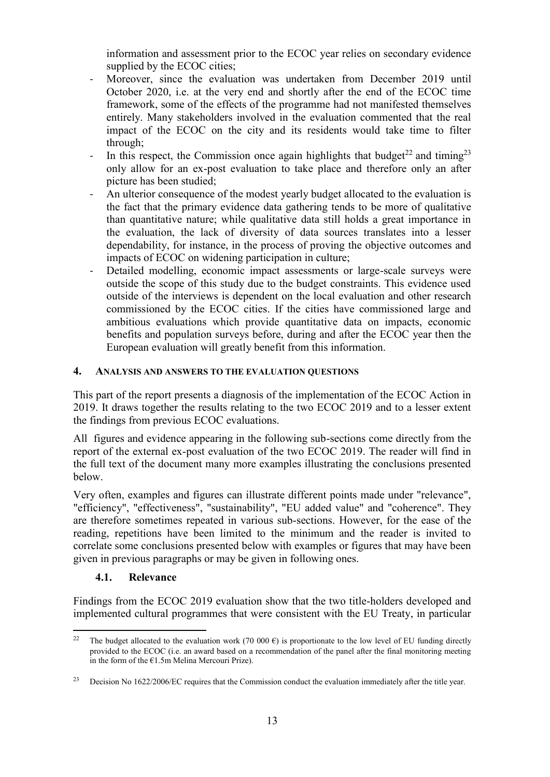information and assessment prior to the ECOC year relies on secondary evidence supplied by the ECOC cities;

- Moreover, since the evaluation was undertaken from December 2019 until October 2020, i.e. at the very end and shortly after the end of the ECOC time framework, some of the effects of the programme had not manifested themselves entirely. Many stakeholders involved in the evaluation commented that the real impact of the ECOC on the city and its residents would take time to filter through;
- In this respect, the Commission once again highlights that budget<sup>22</sup> and timing<sup>23</sup> only allow for an ex-post evaluation to take place and therefore only an after picture has been studied;
- An ulterior consequence of the modest yearly budget allocated to the evaluation is the fact that the primary evidence data gathering tends to be more of qualitative than quantitative nature; while qualitative data still holds a great importance in the evaluation, the lack of diversity of data sources translates into a lesser dependability, for instance, in the process of proving the objective outcomes and impacts of ECOC on widening participation in culture;
- Detailed modelling, economic impact assessments or large-scale surveys were outside the scope of this study due to the budget constraints. This evidence used outside of the interviews is dependent on the local evaluation and other research commissioned by the ECOC cities. If the cities have commissioned large and ambitious evaluations which provide quantitative data on impacts, economic benefits and population surveys before, during and after the ECOC year then the European evaluation will greatly benefit from this information.

### **4. ANALYSIS AND ANSWERS TO THE EVALUATION QUESTIONS**

This part of the report presents a diagnosis of the implementation of the ECOC Action in 2019. It draws together the results relating to the two ECOC 2019 and to a lesser extent the findings from previous ECOC evaluations.

All figures and evidence appearing in the following sub-sections come directly from the report of the external ex-post evaluation of the two ECOC 2019. The reader will find in the full text of the document many more examples illustrating the conclusions presented below.

Very often, examples and figures can illustrate different points made under "relevance", "efficiency", "effectiveness", "sustainability", "EU added value" and "coherence". They are therefore sometimes repeated in various sub-sections. However, for the ease of the reading, repetitions have been limited to the minimum and the reader is invited to correlate some conclusions presented below with examples or figures that may have been given in previous paragraphs or may be given in following ones.

## **4.1. Relevance**

Findings from the ECOC 2019 evaluation show that the two title-holders developed and implemented cultural programmes that were consistent with the EU Treaty, in particular

 $\ddot{\phantom{a}}$ <sup>22</sup> The budget allocated to the evaluation work (70 000  $\epsilon$ ) is proportionate to the low level of EU funding directly provided to the ECOC (i.e. an award based on a recommendation of the panel after the final monitoring meeting in the form of the €1.5m Melina Mercouri Prize).

<sup>&</sup>lt;sup>23</sup> Decision No 1622/2006/EC requires that the Commission conduct the evaluation immediately after the title year.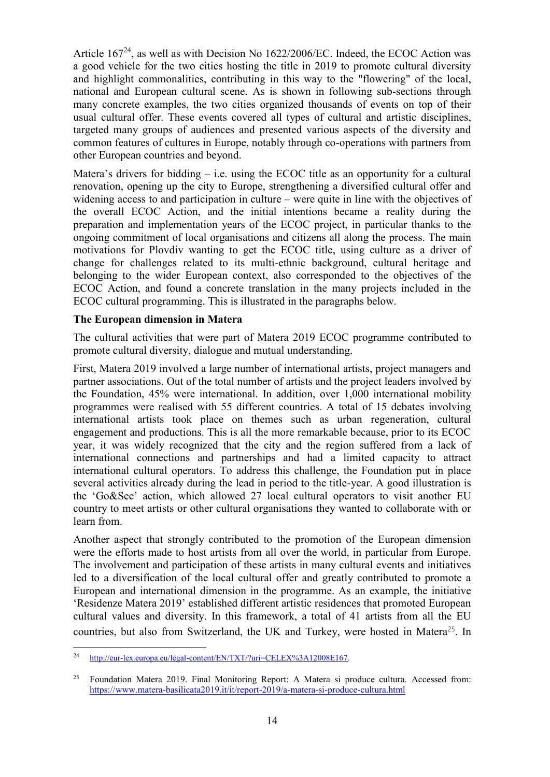Article  $167^{24}$ , as well as with Decision No  $1622/2006/EC$ . Indeed, the ECOC Action was a good vehicle for the two cities hosting the title in 2019 to promote cultural diversity and highlight commonalities, contributing in this way to the "flowering" of the local, national and European cultural scene. As is shown in following sub-sections through many concrete examples, the two cities organized thousands of events on top of their usual cultural offer. These events covered all types of cultural and artistic disciplines, targeted many groups of audiences and presented various aspects of the diversity and common features of cultures in Europe, notably through co-operations with partners from other European countries and beyond.

Matera's drivers for bidding  $-$  i.e. using the ECOC title as an opportunity for a cultural renovation, opening up the city to Europe, strengthening a diversified cultural offer and widening access to and participation in culture – were quite in line with the objectives of the overall ECOC Action, and the initial intentions became a reality during the preparation and implementation years of the ECOC project, in particular thanks to the ongoing commitment of local organisations and citizens all along the process. The main motivations for Plovdiv wanting to get the ECOC title, using culture as a driver of change for challenges related to its multi-ethnic background, cultural heritage and belonging to the wider European context, also corresponded to the objectives of the ECOC Action, and found a concrete translation in the many projects included in the ECOC cultural programming. This is illustrated in the paragraphs below.

#### **The European dimension in Matera**

The cultural activities that were part of Matera 2019 ECOC programme contributed to promote cultural diversity, dialogue and mutual understanding.

First, Matera 2019 involved a large number of international artists, project managers and partner associations. Out of the total number of artists and the project leaders involved by the Foundation, 45% were international. In addition, over 1,000 international mobility programmes were realised with 55 different countries. A total of 15 debates involving international artists took place on themes such as urban regeneration, cultural engagement and productions. This is all the more remarkable because, prior to its ECOC year, it was widely recognized that the city and the region suffered from a lack of international connections and partnerships and had a limited capacity to attract international cultural operators. To address this challenge, the Foundation put in place several activities already during the lead in period to the title-year. A good illustration is the 'Go&See' action, which allowed 27 local cultural operators to visit another EU country to meet artists or other cultural organisations they wanted to collaborate with or learn from.

Another aspect that strongly contributed to the promotion of the European dimension were the efforts made to host artists from all over the world, in particular from Europe. The involvement and participation of these artists in many cultural events and initiatives led to a diversification of the local cultural offer and greatly contributed to promote a European and international dimension in the programme. As an example, the initiative 'Residenze Matera 2019' established different artistic residences that promoted European cultural values and diversity. In this framework, a total of 41 artists from all the EU countries, but also from Switzerland, the UK and Turkey, were hosted in Matera<sup>25</sup>. In

 $\overline{a}$ <sup>24</sup> [http://eur-lex.europa.eu/legal-content/EN/TXT/?uri=CELEX%3A12008E167.](http://eur-lex.europa.eu/legal-content/EN/TXT/?uri=CELEX%3A12008E167)

<sup>&</sup>lt;sup>25</sup> Foundation Matera 2019. Final Monitoring Report: A Matera si produce cultura. Accessed from: <https://www.matera-basilicata2019.it/it/report-2019/a-matera-si-produce-cultura.html>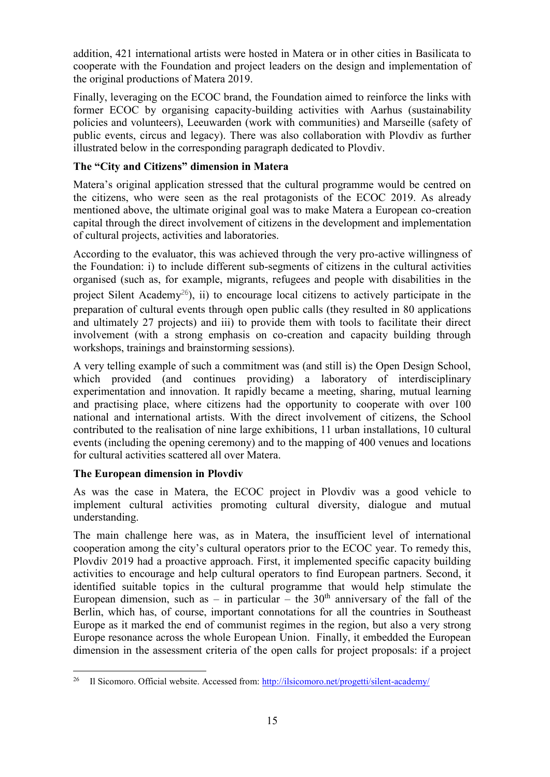addition, 421 international artists were hosted in Matera or in other cities in Basilicata to cooperate with the Foundation and project leaders on the design and implementation of the original productions of Matera 2019.

Finally, leveraging on the ECOC brand, the Foundation aimed to reinforce the links with former ECOC by organising capacity-building activities with Aarhus (sustainability policies and volunteers), Leeuwarden (work with communities) and Marseille (safety of public events, circus and legacy). There was also collaboration with Plovdiv as further illustrated below in the corresponding paragraph dedicated to Plovdiv.

## **The "City and Citizens" dimension in Matera**

Matera's original application stressed that the cultural programme would be centred on the citizens, who were seen as the real protagonists of the ECOC 2019. As already mentioned above, the ultimate original goal was to make Matera a European co-creation capital through the direct involvement of citizens in the development and implementation of cultural projects, activities and laboratories.

According to the evaluator, this was achieved through the very pro-active willingness of the Foundation: i) to include different sub-segments of citizens in the cultural activities organised (such as, for example, migrants, refugees and people with disabilities in the project Silent Academy<sup>26</sup>), ii) to encourage local citizens to actively participate in the preparation of cultural events through open public calls (they resulted in 80 applications and ultimately 27 projects) and iii) to provide them with tools to facilitate their direct involvement (with a strong emphasis on co-creation and capacity building through workshops, trainings and brainstorming sessions).

A very telling example of such a commitment was (and still is) the Open Design School, which provided (and continues providing) a laboratory of interdisciplinary experimentation and innovation. It rapidly became a meeting, sharing, mutual learning and practising place, where citizens had the opportunity to cooperate with over 100 national and international artists. With the direct involvement of citizens, the School contributed to the realisation of nine large exhibitions, 11 urban installations, 10 cultural events (including the opening ceremony) and to the mapping of 400 venues and locations for cultural activities scattered all over Matera.

## **The European dimension in Plovdiv**

As was the case in Matera, the ECOC project in Plovdiv was a good vehicle to implement cultural activities promoting cultural diversity, dialogue and mutual understanding.

The main challenge here was, as in Matera, the insufficient level of international cooperation among the city's cultural operators prior to the ECOC year. To remedy this, Plovdiv 2019 had a proactive approach. First, it implemented specific capacity building activities to encourage and help cultural operators to find European partners. Second, it identified suitable topics in the cultural programme that would help stimulate the European dimension, such as – in particular – the  $30<sup>th</sup>$  anniversary of the fall of the Berlin, which has, of course, important connotations for all the countries in Southeast Europe as it marked the end of communist regimes in the region, but also a very strong Europe resonance across the whole European Union. Finally, it embedded the European dimension in the assessment criteria of the open calls for project proposals: if a project

 $26\degree$ <sup>26</sup> Il Sicomoro. Official website. Accessed from:<http://ilsicomoro.net/progetti/silent-academy/>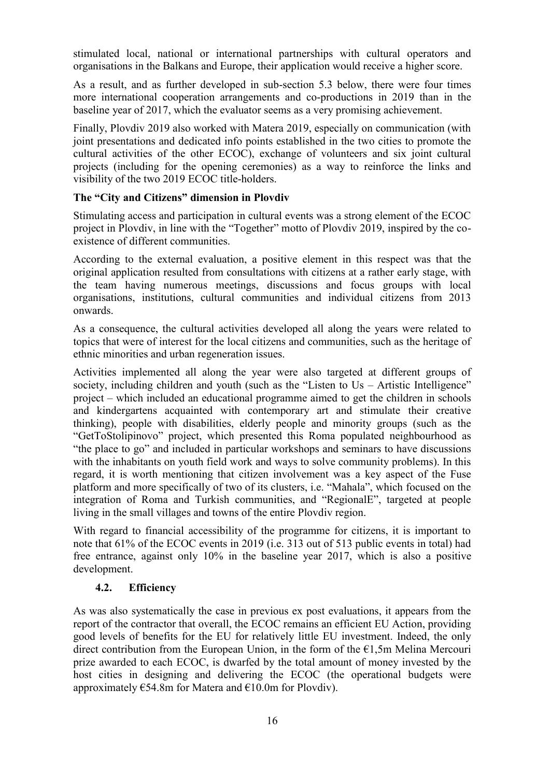stimulated local, national or international partnerships with cultural operators and organisations in the Balkans and Europe, their application would receive a higher score.

As a result, and as further developed in sub-section 5.3 below, there were four times more international cooperation arrangements and co-productions in 2019 than in the baseline year of 2017, which the evaluator seems as a very promising achievement.

Finally, Plovdiv 2019 also worked with Matera 2019, especially on communication (with joint presentations and dedicated info points established in the two cities to promote the cultural activities of the other ECOC), exchange of volunteers and six joint cultural projects (including for the opening ceremonies) as a way to reinforce the links and visibility of the two 2019 ECOC title-holders.

## **The "City and Citizens" dimension in Plovdiv**

Stimulating access and participation in cultural events was a strong element of the ECOC project in Plovdiv, in line with the "Together" motto of Plovdiv 2019, inspired by the coexistence of different communities.

According to the external evaluation, a positive element in this respect was that the original application resulted from consultations with citizens at a rather early stage, with the team having numerous meetings, discussions and focus groups with local organisations, institutions, cultural communities and individual citizens from 2013 onwards.

As a consequence, the cultural activities developed all along the years were related to topics that were of interest for the local citizens and communities, such as the heritage of ethnic minorities and urban regeneration issues.

Activities implemented all along the year were also targeted at different groups of society, including children and youth (such as the "Listen to Us – Artistic Intelligence" project – which included an educational programme aimed to get the children in schools and kindergartens acquainted with contemporary art and stimulate their creative thinking), people with disabilities, elderly people and minority groups (such as the "GetToStolipinovo" project, which presented this Roma populated neighbourhood as "the place to go" and included in particular workshops and seminars to have discussions with the inhabitants on youth field work and ways to solve community problems). In this regard, it is worth mentioning that citizen involvement was a key aspect of the Fuse platform and more specifically of two of its clusters, i.e. "Mahala", which focused on the integration of Roma and Turkish communities, and "RegionalE", targeted at people living in the small villages and towns of the entire Plovdiv region.

With regard to financial accessibility of the programme for citizens, it is important to note that 61% of the ECOC events in 2019 (i.e. 313 out of 513 public events in total) had free entrance, against only 10% in the baseline year 2017, which is also a positive development.

## **4.2. Efficiency**

As was also systematically the case in previous ex post evaluations, it appears from the report of the contractor that overall, the ECOC remains an efficient EU Action, providing good levels of benefits for the EU for relatively little EU investment. Indeed, the only direct contribution from the European Union, in the form of the  $E1, 5m$  Melina Mercouri prize awarded to each ECOC, is dwarfed by the total amount of money invested by the host cities in designing and delivering the ECOC (the operational budgets were approximately  $654.8m$  for Matera and  $610.0m$  for Plovdiv).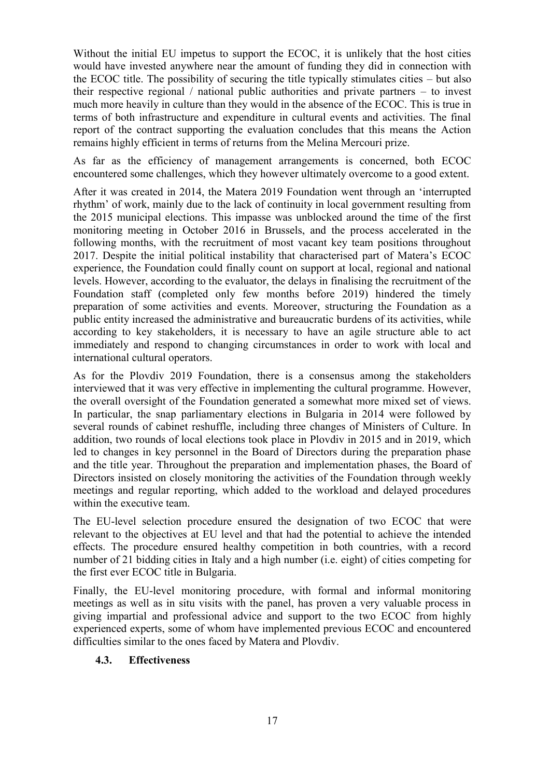Without the initial EU impetus to support the ECOC, it is unlikely that the host cities would have invested anywhere near the amount of funding they did in connection with the ECOC title. The possibility of securing the title typically stimulates cities – but also their respective regional / national public authorities and private partners – to invest much more heavily in culture than they would in the absence of the ECOC. This is true in terms of both infrastructure and expenditure in cultural events and activities. The final report of the contract supporting the evaluation concludes that this means the Action remains highly efficient in terms of returns from the Melina Mercouri prize.

As far as the efficiency of management arrangements is concerned, both ECOC encountered some challenges, which they however ultimately overcome to a good extent.

After it was created in 2014, the Matera 2019 Foundation went through an 'interrupted rhythm' of work, mainly due to the lack of continuity in local government resulting from the 2015 municipal elections. This impasse was unblocked around the time of the first monitoring meeting in October 2016 in Brussels, and the process accelerated in the following months, with the recruitment of most vacant key team positions throughout 2017. Despite the initial political instability that characterised part of Matera's ECOC experience, the Foundation could finally count on support at local, regional and national levels. However, according to the evaluator, the delays in finalising the recruitment of the Foundation staff (completed only few months before 2019) hindered the timely preparation of some activities and events. Moreover, structuring the Foundation as a public entity increased the administrative and bureaucratic burdens of its activities, while according to key stakeholders, it is necessary to have an agile structure able to act immediately and respond to changing circumstances in order to work with local and international cultural operators.

As for the Plovdiv 2019 Foundation, there is a consensus among the stakeholders interviewed that it was very effective in implementing the cultural programme. However, the overall oversight of the Foundation generated a somewhat more mixed set of views. In particular, the snap parliamentary elections in Bulgaria in 2014 were followed by several rounds of cabinet reshuffle, including three changes of Ministers of Culture. In addition, two rounds of local elections took place in Plovdiv in 2015 and in 2019, which led to changes in key personnel in the Board of Directors during the preparation phase and the title year. Throughout the preparation and implementation phases, the Board of Directors insisted on closely monitoring the activities of the Foundation through weekly meetings and regular reporting, which added to the workload and delayed procedures within the executive team.

The EU-level selection procedure ensured the designation of two ECOC that were relevant to the objectives at EU level and that had the potential to achieve the intended effects. The procedure ensured healthy competition in both countries, with a record number of 21 bidding cities in Italy and a high number (i.e. eight) of cities competing for the first ever ECOC title in Bulgaria.

Finally, the EU-level monitoring procedure, with formal and informal monitoring meetings as well as in situ visits with the panel, has proven a very valuable process in giving impartial and professional advice and support to the two ECOC from highly experienced experts, some of whom have implemented previous ECOC and encountered difficulties similar to the ones faced by Matera and Plovdiv.

#### **4.3. Effectiveness**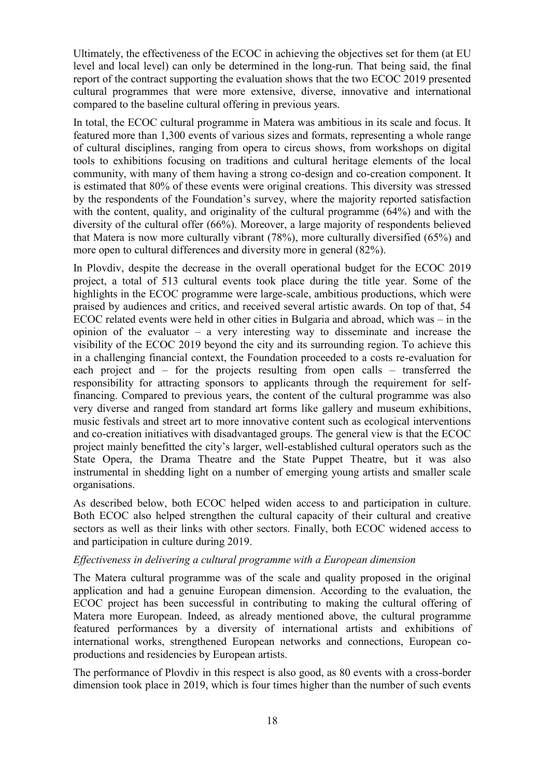Ultimately, the effectiveness of the ECOC in achieving the objectives set for them (at EU level and local level) can only be determined in the long-run. That being said, the final report of the contract supporting the evaluation shows that the two ECOC 2019 presented cultural programmes that were more extensive, diverse, innovative and international compared to the baseline cultural offering in previous years.

In total, the ECOC cultural programme in Matera was ambitious in its scale and focus. It featured more than 1,300 events of various sizes and formats, representing a whole range of cultural disciplines, ranging from opera to circus shows, from workshops on digital tools to exhibitions focusing on traditions and cultural heritage elements of the local community, with many of them having a strong co-design and co-creation component. It is estimated that 80% of these events were original creations. This diversity was stressed by the respondents of the Foundation's survey, where the majority reported satisfaction with the content, quality, and originality of the cultural programme (64%) and with the diversity of the cultural offer (66%). Moreover, a large majority of respondents believed that Matera is now more culturally vibrant (78%), more culturally diversified (65%) and more open to cultural differences and diversity more in general (82%).

In Plovdiv, despite the decrease in the overall operational budget for the ECOC 2019 project, a total of 513 cultural events took place during the title year. Some of the highlights in the ECOC programme were large-scale, ambitious productions, which were praised by audiences and critics, and received several artistic awards. On top of that, 54 ECOC related events were held in other cities in Bulgaria and abroad, which was – in the opinion of the evaluator – a very interesting way to disseminate and increase the visibility of the ECOC 2019 beyond the city and its surrounding region. To achieve this in a challenging financial context, the Foundation proceeded to a costs re-evaluation for each project and – for the projects resulting from open calls – transferred the responsibility for attracting sponsors to applicants through the requirement for selffinancing. Compared to previous years, the content of the cultural programme was also very diverse and ranged from standard art forms like gallery and museum exhibitions, music festivals and street art to more innovative content such as ecological interventions and co-creation initiatives with disadvantaged groups. The general view is that the ECOC project mainly benefitted the city's larger, well-established cultural operators such as the State Opera, the Drama Theatre and the State Puppet Theatre, but it was also instrumental in shedding light on a number of emerging young artists and smaller scale organisations.

As described below, both ECOC helped widen access to and participation in culture. Both ECOC also helped strengthen the cultural capacity of their cultural and creative sectors as well as their links with other sectors. Finally, both ECOC widened access to and participation in culture during 2019.

#### *Effectiveness in delivering a cultural programme with a European dimension*

The Matera cultural programme was of the scale and quality proposed in the original application and had a genuine European dimension. According to the evaluation, the ECOC project has been successful in contributing to making the cultural offering of Matera more European. Indeed, as already mentioned above, the cultural programme featured performances by a diversity of international artists and exhibitions of international works, strengthened European networks and connections, European coproductions and residencies by European artists.

The performance of Plovdiv in this respect is also good, as 80 events with a cross-border dimension took place in 2019, which is four times higher than the number of such events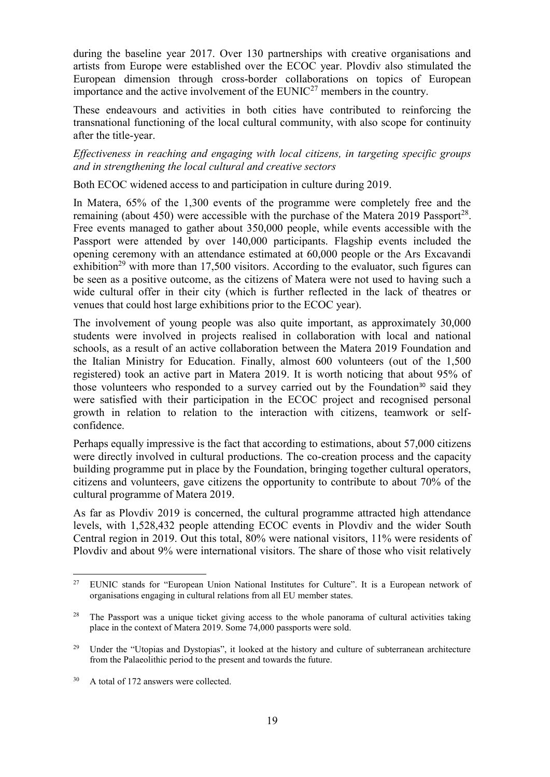during the baseline year 2017. Over 130 partnerships with creative organisations and artists from Europe were established over the ECOC year. Plovdiv also stimulated the European dimension through cross-border collaborations on topics of European importance and the active involvement of the  $EUNIC<sup>27</sup>$  members in the country.

These endeavours and activities in both cities have contributed to reinforcing the transnational functioning of the local cultural community, with also scope for continuity after the title-year.

*Effectiveness in reaching and engaging with local citizens, in targeting specific groups and in strengthening the local cultural and creative sectors*

Both ECOC widened access to and participation in culture during 2019.

In Matera, 65% of the 1,300 events of the programme were completely free and the remaining (about 450) were accessible with the purchase of the Matera 2019 Passport<sup>28</sup>. Free events managed to gather about 350,000 people, while events accessible with the Passport were attended by over 140,000 participants. Flagship events included the opening ceremony with an attendance estimated at 60,000 people or the Ars Excavandi exhibition<sup>29</sup> with more than 17,500 visitors. According to the evaluator, such figures can be seen as a positive outcome, as the citizens of Matera were not used to having such a wide cultural offer in their city (which is further reflected in the lack of theatres or venues that could host large exhibitions prior to the ECOC year).

The involvement of young people was also quite important, as approximately 30,000 students were involved in projects realised in collaboration with local and national schools, as a result of an active collaboration between the Matera 2019 Foundation and the Italian Ministry for Education. Finally, almost 600 volunteers (out of the 1,500 registered) took an active part in Matera 2019. It is worth noticing that about 95% of those volunteers who responded to a survey carried out by the Foundation<sup>30</sup> said they were satisfied with their participation in the ECOC project and recognised personal growth in relation to relation to the interaction with citizens, teamwork or selfconfidence.

Perhaps equally impressive is the fact that according to estimations, about 57,000 citizens were directly involved in cultural productions. The co-creation process and the capacity building programme put in place by the Foundation, bringing together cultural operators, citizens and volunteers, gave citizens the opportunity to contribute to about 70% of the cultural programme of Matera 2019.

As far as Plovdiv 2019 is concerned, the cultural programme attracted high attendance levels, with 1,528,432 people attending ECOC events in Plovdiv and the wider South Central region in 2019. Out this total, 80% were national visitors, 11% were residents of Plovdiv and about 9% were international visitors. The share of those who visit relatively

 $\overline{a}$ <sup>27</sup> EUNIC stands for "European Union National Institutes for Culture". It is a European network of organisations engaging in cultural relations from all EU member states.

<sup>&</sup>lt;sup>28</sup> The Passport was a unique ticket giving access to the whole panorama of cultural activities taking place in the context of Matera 2019. Some 74,000 passports were sold.

<sup>&</sup>lt;sup>29</sup> Under the "Utopias and Dystopias", it looked at the history and culture of subterranean architecture from the Palaeolithic period to the present and towards the future.

<sup>&</sup>lt;sup>30</sup> A total of 172 answers were collected.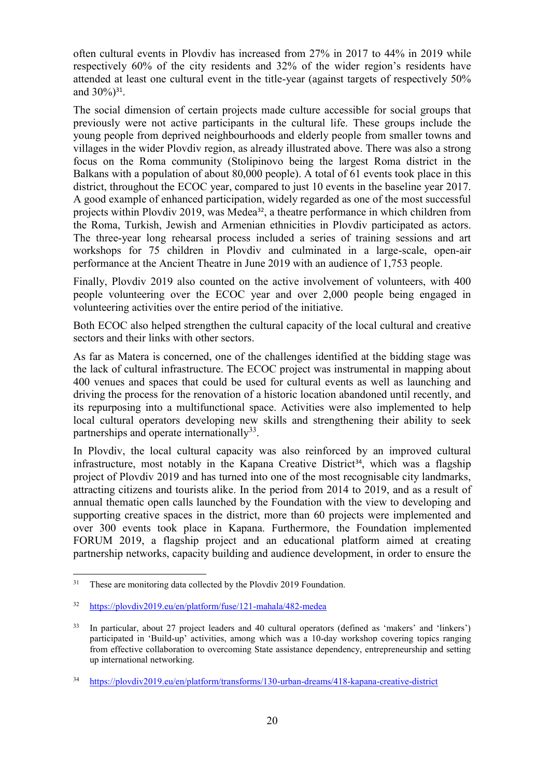often cultural events in Plovdiv has increased from 27% in 2017 to 44% in 2019 while respectively 60% of the city residents and 32% of the wider region's residents have attended at least one cultural event in the title-year (against targets of respectively 50% and  $30\%$ )<sup>31</sup>.

The social dimension of certain projects made culture accessible for social groups that previously were not active participants in the cultural life. These groups include the young people from deprived neighbourhoods and elderly people from smaller towns and villages in the wider Plovdiv region, as already illustrated above. There was also a strong focus on the Roma community (Stolipinovo being the largest Roma district in the Balkans with a population of about 80,000 people). A total of 61 events took place in this district, throughout the ECOC year, compared to just 10 events in the baseline year 2017. A good example of enhanced participation, widely regarded as one of the most successful projects within Plovdiv 2019, was Medea<sup>32</sup>, a theatre performance in which children from the Roma, Turkish, Jewish and Armenian ethnicities in Plovdiv participated as actors. The three-year long rehearsal process included a series of training sessions and art workshops for 75 children in Plovdiv and culminated in a large-scale, open-air performance at the Ancient Theatre in June 2019 with an audience of 1,753 people.

Finally, Plovdiv 2019 also counted on the active involvement of volunteers, with 400 people volunteering over the ECOC year and over 2,000 people being engaged in volunteering activities over the entire period of the initiative.

Both ECOC also helped strengthen the cultural capacity of the local cultural and creative sectors and their links with other sectors.

As far as Matera is concerned, one of the challenges identified at the bidding stage was the lack of cultural infrastructure. The ECOC project was instrumental in mapping about 400 venues and spaces that could be used for cultural events as well as launching and driving the process for the renovation of a historic location abandoned until recently, and its repurposing into a multifunctional space. Activities were also implemented to help local cultural operators developing new skills and strengthening their ability to seek partnerships and operate internationally $^{33}$ .

In Plovdiv, the local cultural capacity was also reinforced by an improved cultural infrastructure, most notably in the Kapana Creative District<sup>34</sup>, which was a flagship project of Plovdiv 2019 and has turned into one of the most recognisable city landmarks, attracting citizens and tourists alike. In the period from 2014 to 2019, and as a result of annual thematic open calls launched by the Foundation with the view to developing and supporting creative spaces in the district, more than 60 projects were implemented and over 300 events took place in Kapana. Furthermore, the Foundation implemented FORUM 2019, a flagship project and an educational platform aimed at creating partnership networks, capacity building and audience development, in order to ensure the

 $\overline{a}$ <sup>31</sup> These are monitoring data collected by the Plovdiv 2019 Foundation.

<sup>32</sup> https://plovdiv2019.eu/en/platform/fuse/121-mahala/482-medea

<sup>33</sup> In particular, about 27 project leaders and 40 cultural operators (defined as 'makers' and 'linkers') participated in 'Build-up' activities, among which was a 10-day workshop covering topics ranging from effective collaboration to overcoming State assistance dependency, entrepreneurship and setting up international networking.

<sup>34</sup> https://plovdiv2019.eu/en/platform/transforms/130-urban-dreams/418-kapana-creative-district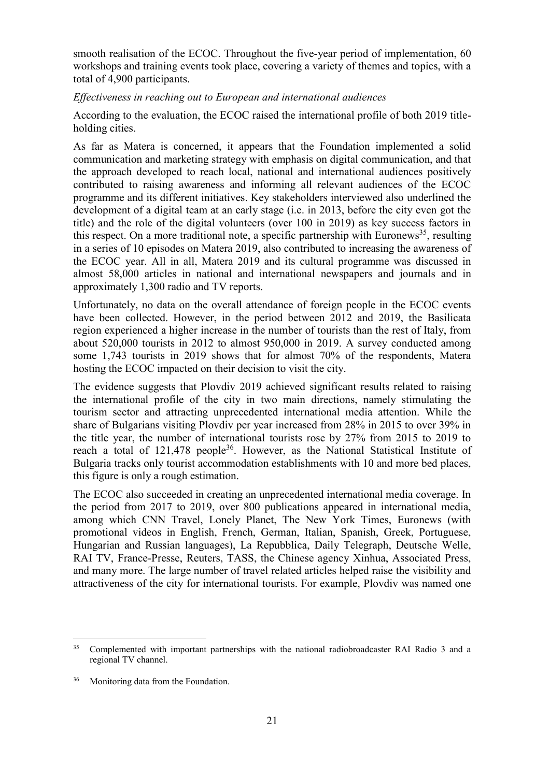smooth realisation of the ECOC. Throughout the five-year period of implementation, 60 workshops and training events took place, covering a variety of themes and topics, with a total of 4,900 participants.

#### *Effectiveness in reaching out to European and international audiences*

According to the evaluation, the ECOC raised the international profile of both 2019 titleholding cities.

As far as Matera is concerned, it appears that the Foundation implemented a solid communication and marketing strategy with emphasis on digital communication, and that the approach developed to reach local, national and international audiences positively contributed to raising awareness and informing all relevant audiences of the ECOC programme and its different initiatives. Key stakeholders interviewed also underlined the development of a digital team at an early stage (i.e. in 2013, before the city even got the title) and the role of the digital volunteers (over 100 in 2019) as key success factors in this respect. On a more traditional note, a specific partnership with Euronews<sup>35</sup>, resulting in a series of 10 episodes on Matera 2019, also contributed to increasing the awareness of the ECOC year. All in all, Matera 2019 and its cultural programme was discussed in almost 58,000 articles in national and international newspapers and journals and in approximately 1,300 radio and TV reports.

Unfortunately, no data on the overall attendance of foreign people in the ECOC events have been collected. However, in the period between 2012 and 2019, the Basilicata region experienced a higher increase in the number of tourists than the rest of Italy, from about 520,000 tourists in 2012 to almost 950,000 in 2019. A survey conducted among some 1,743 tourists in 2019 shows that for almost 70% of the respondents, Matera hosting the ECOC impacted on their decision to visit the city.

The evidence suggests that Plovdiv 2019 achieved significant results related to raising the international profile of the city in two main directions, namely stimulating the tourism sector and attracting unprecedented international media attention. While the share of Bulgarians visiting Plovdiv per year increased from 28% in 2015 to over 39% in the title year, the number of international tourists rose by 27% from 2015 to 2019 to reach a total of 121,478 people<sup>36</sup>. However, as the National Statistical Institute of Bulgaria tracks only tourist accommodation establishments with 10 and more bed places, this figure is only a rough estimation.

The ECOC also succeeded in creating an unprecedented international media coverage. In the period from 2017 to 2019, over 800 publications appeared in international media, among which CNN Travel, Lonely Planet, The New York Times, Euronews (with promotional videos in English, French, German, Italian, Spanish, Greek, Portuguese, Hungarian and Russian languages), La Repubblica, Daily Telegraph, Deutsche Welle, RAI TV, France-Presse, Reuters, TASS, the Chinese agency Xinhua, Associated Press, and many more. The large number of travel related articles helped raise the visibility and attractiveness of the city for international tourists. For example, Plovdiv was named one

 $\overline{a}$ 

<sup>&</sup>lt;sup>35</sup> Complemented with important partnerships with the national radiobroadcaster RAI Radio 3 and a regional TV channel.

<sup>36</sup> Monitoring data from the Foundation.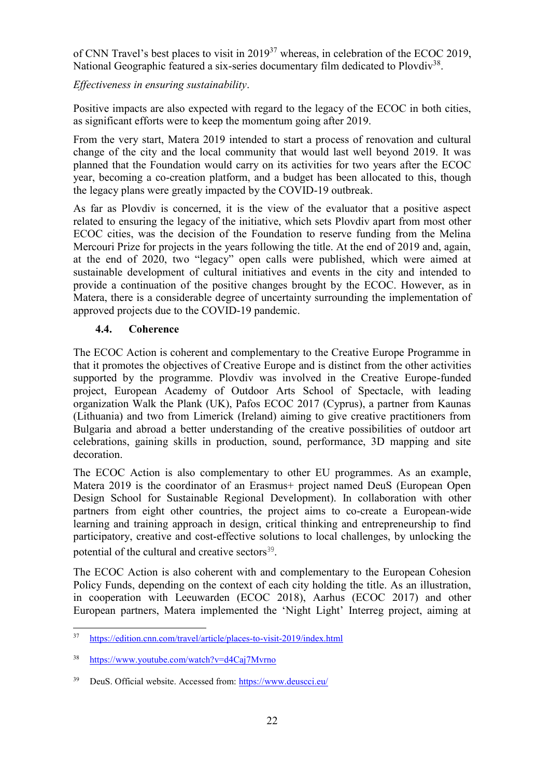of CNN Travel's best places to visit in 2019<sup>37</sup> whereas, in celebration of the ECOC 2019, National Geographic featured a six-series documentary film dedicated to Plovdiv<sup>38</sup>.

*Effectiveness in ensuring sustainability*.

Positive impacts are also expected with regard to the legacy of the ECOC in both cities, as significant efforts were to keep the momentum going after 2019.

From the very start, Matera 2019 intended to start a process of renovation and cultural change of the city and the local community that would last well beyond 2019. It was planned that the Foundation would carry on its activities for two years after the ECOC year, becoming a co-creation platform, and a budget has been allocated to this, though the legacy plans were greatly impacted by the COVID-19 outbreak.

As far as Plovdiv is concerned, it is the view of the evaluator that a positive aspect related to ensuring the legacy of the initiative, which sets Plovdiv apart from most other ECOC cities, was the decision of the Foundation to reserve funding from the Melina Mercouri Prize for projects in the years following the title. At the end of 2019 and, again, at the end of 2020, two "legacy" open calls were published, which were aimed at sustainable development of cultural initiatives and events in the city and intended to provide a continuation of the positive changes brought by the ECOC. However, as in Matera, there is a considerable degree of uncertainty surrounding the implementation of approved projects due to the COVID-19 pandemic.

## **4.4. Coherence**

The ECOC Action is coherent and complementary to the Creative Europe Programme in that it promotes the objectives of Creative Europe and is distinct from the other activities supported by the programme. Plovdiv was involved in the Creative Europe-funded project, European Academy of Outdoor Arts School of Spectacle, with leading organization Walk the Plank (UK), Pafos ECOC 2017 (Cyprus), a partner from Kaunas (Lithuania) and two from Limerick (Ireland) aiming to give creative practitioners from Bulgaria and abroad a better understanding of the creative possibilities of outdoor art celebrations, gaining skills in production, sound, performance, 3D mapping and site decoration.

The ECOC Action is also complementary to other EU programmes. As an example, Matera 2019 is the coordinator of an Erasmus+ project named DeuS (European Open Design School for Sustainable Regional Development). In collaboration with other partners from eight other countries, the project aims to co-create a European-wide learning and training approach in design, critical thinking and entrepreneurship to find participatory, creative and cost-effective solutions to local challenges, by unlocking the potential of the cultural and creative sectors<sup>39</sup>.

The ECOC Action is also coherent with and complementary to the European Cohesion Policy Funds, depending on the context of each city holding the title. As an illustration, in cooperation with Leeuwarden (ECOC 2018), Aarhus (ECOC 2017) and other European partners, Matera implemented the 'Night Light' Interreg project, aiming at

 $37$ <sup>37</sup> https://edition.cnn.com/travel/article/places-to-visit-2019/index.html

<sup>38</sup> https://www.youtube.com/watch?v=d4Caj7Mvrno

<sup>39</sup> DeuS. Official website. Accessed from:<https://www.deuscci.eu/>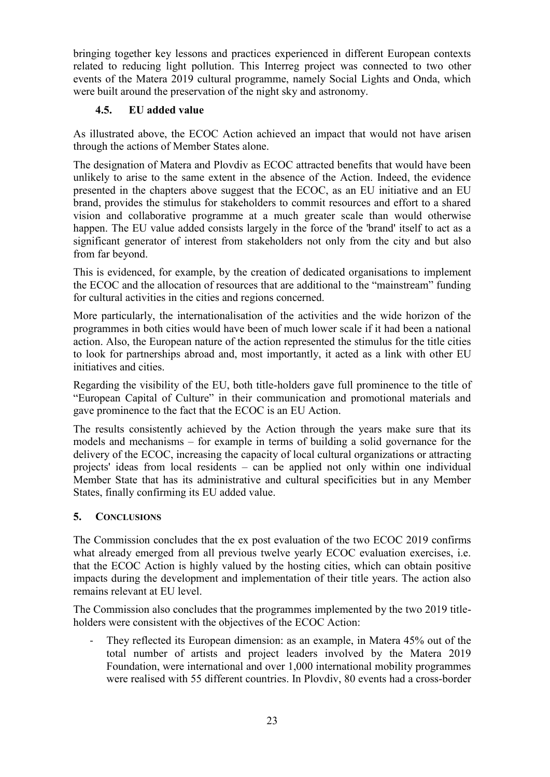bringing together key lessons and practices experienced in different European contexts related to reducing light pollution. This Interreg project was connected to two other events of the Matera 2019 cultural programme, namely Social Lights and Onda, which were built around the preservation of the night sky and astronomy.

## **4.5. EU added value**

As illustrated above, the ECOC Action achieved an impact that would not have arisen through the actions of Member States alone.

The designation of Matera and Plovdiv as ECOC attracted benefits that would have been unlikely to arise to the same extent in the absence of the Action. Indeed, the evidence presented in the chapters above suggest that the ECOC, as an EU initiative and an EU brand, provides the stimulus for stakeholders to commit resources and effort to a shared vision and collaborative programme at a much greater scale than would otherwise happen. The EU value added consists largely in the force of the 'brand' itself to act as a significant generator of interest from stakeholders not only from the city and but also from far beyond.

This is evidenced, for example, by the creation of dedicated organisations to implement the ECOC and the allocation of resources that are additional to the "mainstream" funding for cultural activities in the cities and regions concerned.

More particularly, the internationalisation of the activities and the wide horizon of the programmes in both cities would have been of much lower scale if it had been a national action. Also, the European nature of the action represented the stimulus for the title cities to look for partnerships abroad and, most importantly, it acted as a link with other EU initiatives and cities.

Regarding the visibility of the EU, both title-holders gave full prominence to the title of "European Capital of Culture" in their communication and promotional materials and gave prominence to the fact that the ECOC is an EU Action.

The results consistently achieved by the Action through the years make sure that its models and mechanisms – for example in terms of building a solid governance for the delivery of the ECOC, increasing the capacity of local cultural organizations or attracting projects' ideas from local residents – can be applied not only within one individual Member State that has its administrative and cultural specificities but in any Member States, finally confirming its EU added value.

## **5. CONCLUSIONS**

The Commission concludes that the ex post evaluation of the two ECOC 2019 confirms what already emerged from all previous twelve yearly ECOC evaluation exercises, i.e. that the ECOC Action is highly valued by the hosting cities, which can obtain positive impacts during the development and implementation of their title years. The action also remains relevant at EU level.

The Commission also concludes that the programmes implemented by the two 2019 titleholders were consistent with the objectives of the ECOC Action:

They reflected its European dimension: as an example, in Matera 45% out of the total number of artists and project leaders involved by the Matera 2019 Foundation, were international and over 1,000 international mobility programmes were realised with 55 different countries. In Plovdiv, 80 events had a cross-border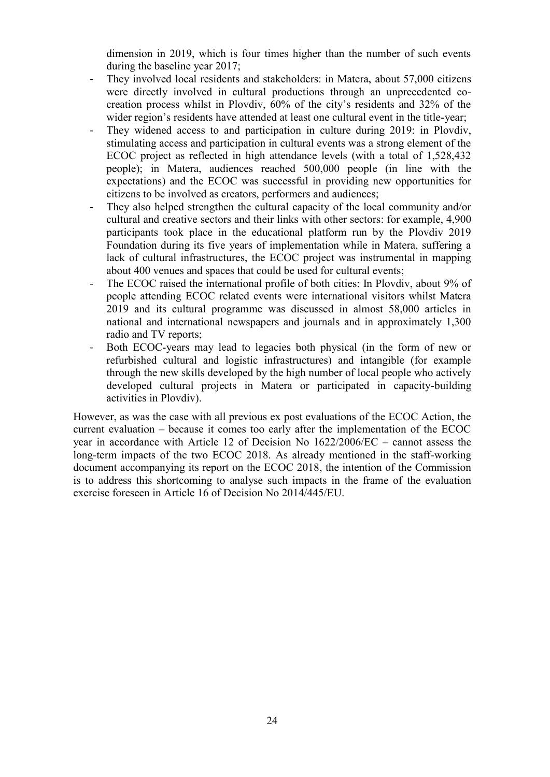dimension in 2019, which is four times higher than the number of such events during the baseline year 2017;

- They involved local residents and stakeholders: in Matera, about 57,000 citizens were directly involved in cultural productions through an unprecedented cocreation process whilst in Plovdiv, 60% of the city's residents and 32% of the wider region's residents have attended at least one cultural event in the title-year;
- They widened access to and participation in culture during 2019: in Plovdiv, stimulating access and participation in cultural events was a strong element of the ECOC project as reflected in high attendance levels (with a total of 1,528,432 people); in Matera, audiences reached 500,000 people (in line with the expectations) and the ECOC was successful in providing new opportunities for citizens to be involved as creators, performers and audiences;
- They also helped strengthen the cultural capacity of the local community and/or cultural and creative sectors and their links with other sectors: for example, 4,900 participants took place in the educational platform run by the Plovdiv 2019 Foundation during its five years of implementation while in Matera, suffering a lack of cultural infrastructures, the ECOC project was instrumental in mapping about 400 venues and spaces that could be used for cultural events;
- The ECOC raised the international profile of both cities: In Plovdiv, about 9% of people attending ECOC related events were international visitors whilst Matera 2019 and its cultural programme was discussed in almost 58,000 articles in national and international newspapers and journals and in approximately 1,300 radio and TV reports;
- Both ECOC-years may lead to legacies both physical (in the form of new or refurbished cultural and logistic infrastructures) and intangible (for example through the new skills developed by the high number of local people who actively developed cultural projects in Matera or participated in capacity-building activities in Plovdiv).

However, as was the case with all previous ex post evaluations of the ECOC Action, the current evaluation – because it comes too early after the implementation of the ECOC year in accordance with Article 12 of Decision No 1622/2006/EC – cannot assess the long-term impacts of the two ECOC 2018. As already mentioned in the staff-working document accompanying its report on the ECOC 2018, the intention of the Commission is to address this shortcoming to analyse such impacts in the frame of the evaluation exercise foreseen in Article 16 of Decision No 2014/445/EU.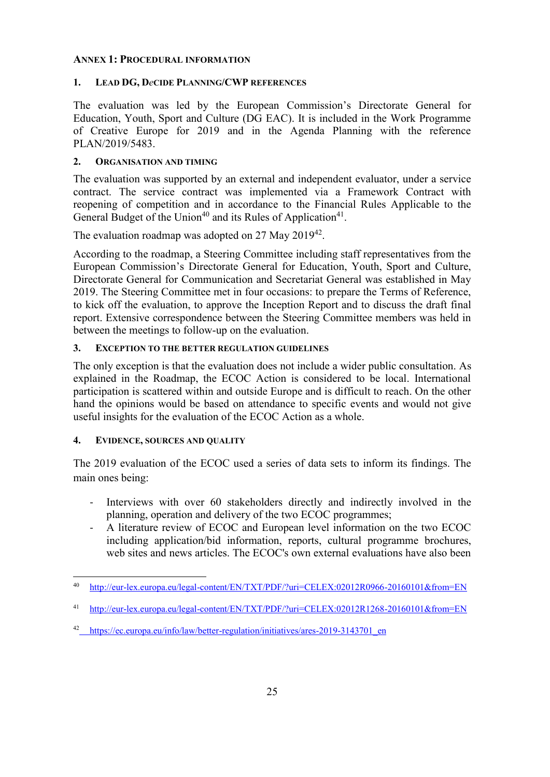#### **ANNEX 1: PROCEDURAL INFORMATION**

#### **1. LEAD DG, D***e***CIDE PLANNING/CWP REFERENCES**

The evaluation was led by the European Commission's Directorate General for Education, Youth, Sport and Culture (DG EAC). It is included in the Work Programme of Creative Europe for 2019 and in the Agenda Planning with the reference PLAN/2019/5483.

#### **2. ORGANISATION AND TIMING**

The evaluation was supported by an external and independent evaluator, under a service contract. The service contract was implemented via a Framework Contract with reopening of competition and in accordance to the Financial Rules Applicable to the General Budget of the Union<sup>40</sup> and its Rules of Application<sup>41</sup>.

The evaluation roadmap was adopted on 27 May  $2019^{42}$ .

According to the roadmap, a Steering Committee including staff representatives from the European Commission's Directorate General for Education, Youth, Sport and Culture, Directorate General for Communication and Secretariat General was established in May 2019. The Steering Committee met in four occasions: to prepare the Terms of Reference, to kick off the evaluation, to approve the Inception Report and to discuss the draft final report. Extensive correspondence between the Steering Committee members was held in between the meetings to follow-up on the evaluation.

#### **3. EXCEPTION TO THE BETTER REGULATION GUIDELINES**

The only exception is that the evaluation does not include a wider public consultation. As explained in the Roadmap, the ECOC Action is considered to be local. International participation is scattered within and outside Europe and is difficult to reach. On the other hand the opinions would be based on attendance to specific events and would not give useful insights for the evaluation of the ECOC Action as a whole.

#### **4. EVIDENCE, SOURCES AND QUALITY**

The 2019 evaluation of the ECOC used a series of data sets to inform its findings. The main ones being:

- Interviews with over 60 stakeholders directly and indirectly involved in the planning, operation and delivery of the two ECOC programmes;
- A literature review of ECOC and European level information on the two ECOC including application/bid information, reports, cultural programme brochures, web sites and news articles. The ECOC's own external evaluations have also been

 $\ddot{\phantom{a}}$ <sup>40</sup> <http://eur-lex.europa.eu/legal-content/EN/TXT/PDF/?uri=CELEX:02012R0966-20160101&from=EN>

<sup>41</sup> <http://eur-lex.europa.eu/legal-content/EN/TXT/PDF/?uri=CELEX:02012R1268-20160101&from=EN>

<sup>&</sup>lt;sup>42</sup>\_[https://ec.europa.eu/info/law/better-regulation/initiatives/ares-2019-3143701\\_en](https://ec.europa.eu/info/law/better-regulation/initiatives/ares-2019-3143701_en)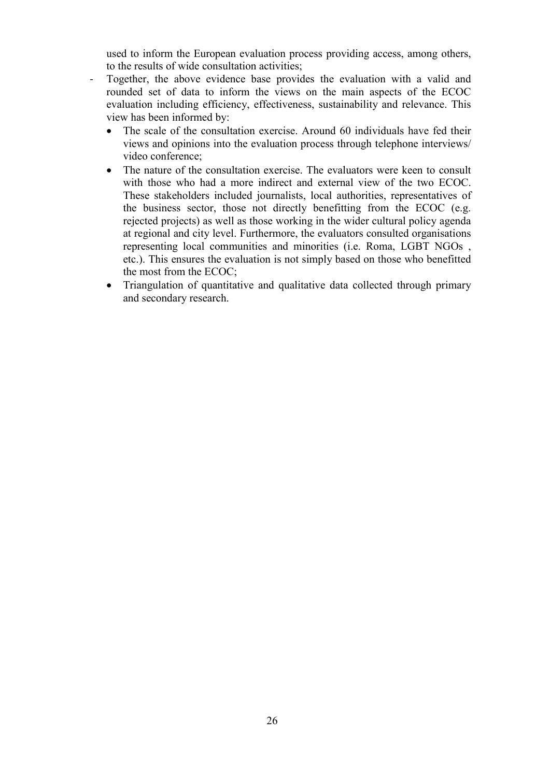used to inform the European evaluation process providing access, among others, to the results of wide consultation activities;

- Together, the above evidence base provides the evaluation with a valid and rounded set of data to inform the views on the main aspects of the ECOC evaluation including efficiency, effectiveness, sustainability and relevance. This view has been informed by:
	- The scale of the consultation exercise. Around 60 individuals have fed their views and opinions into the evaluation process through telephone interviews/ video conference;
	- The nature of the consultation exercise. The evaluators were keen to consult with those who had a more indirect and external view of the two ECOC. These stakeholders included journalists, local authorities, representatives of the business sector, those not directly benefitting from the ECOC (e.g. rejected projects) as well as those working in the wider cultural policy agenda at regional and city level. Furthermore, the evaluators consulted organisations representing local communities and minorities (i.e. Roma, LGBT NGOs , etc.). This ensures the evaluation is not simply based on those who benefitted the most from the ECOC;
	- Triangulation of quantitative and qualitative data collected through primary and secondary research.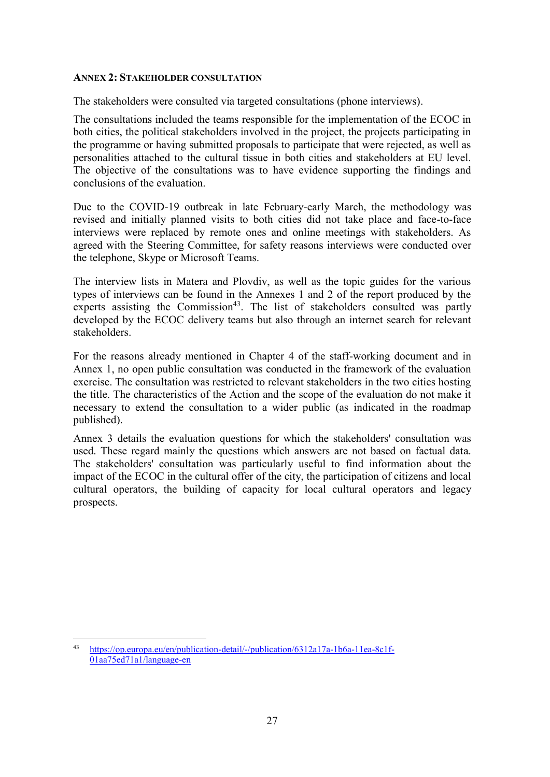#### **ANNEX 2: STAKEHOLDER CONSULTATION**

The stakeholders were consulted via targeted consultations (phone interviews).

The consultations included the teams responsible for the implementation of the ECOC in both cities, the political stakeholders involved in the project, the projects participating in the programme or having submitted proposals to participate that were rejected, as well as personalities attached to the cultural tissue in both cities and stakeholders at EU level. The objective of the consultations was to have evidence supporting the findings and conclusions of the evaluation.

Due to the COVID-19 outbreak in late February-early March, the methodology was revised and initially planned visits to both cities did not take place and face-to-face interviews were replaced by remote ones and online meetings with stakeholders. As agreed with the Steering Committee, for safety reasons interviews were conducted over the telephone, Skype or Microsoft Teams.

The interview lists in Matera and Plovdiv, as well as the topic guides for the various types of interviews can be found in the Annexes 1 and 2 of the report produced by the experts assisting the Commission<sup>43</sup>. The list of stakeholders consulted was partly developed by the ECOC delivery teams but also through an internet search for relevant stakeholders.

For the reasons already mentioned in Chapter 4 of the staff-working document and in Annex 1, no open public consultation was conducted in the framework of the evaluation exercise. The consultation was restricted to relevant stakeholders in the two cities hosting the title. The characteristics of the Action and the scope of the evaluation do not make it necessary to extend the consultation to a wider public (as indicated in the roadmap published).

Annex 3 details the evaluation questions for which the stakeholders' consultation was used. These regard mainly the questions which answers are not based on factual data. The stakeholders' consultation was particularly useful to find information about the impact of the ECOC in the cultural offer of the city, the participation of citizens and local cultural operators, the building of capacity for local cultural operators and legacy prospects.

 $\overline{a}$ <sup>43</sup> [https://op.europa.eu/en/publication-detail/-/publication/6312a17a-1b6a-11ea-8c1f-](https://op.europa.eu/en/publication-detail/-/publication/6312a17a-1b6a-11ea-8c1f-01aa75ed71a1/language-en)[01aa75ed71a1/language-en](https://op.europa.eu/en/publication-detail/-/publication/6312a17a-1b6a-11ea-8c1f-01aa75ed71a1/language-en)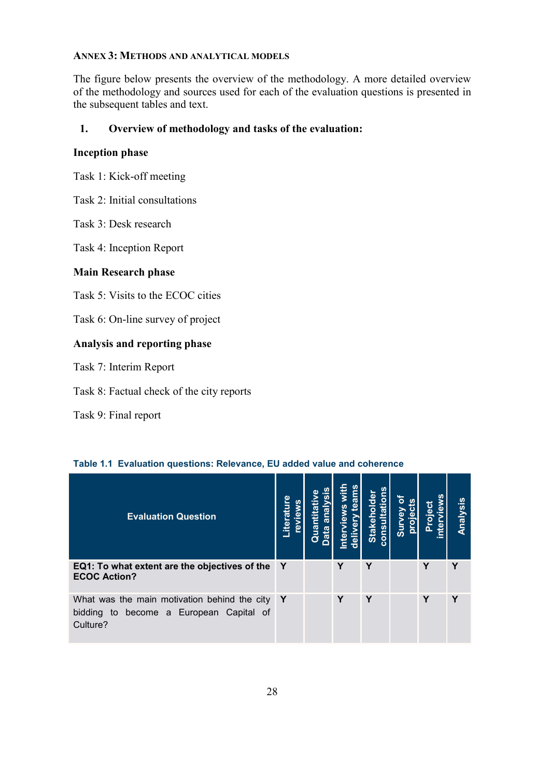#### **ANNEX 3: METHODS AND ANALYTICAL MODELS**

The figure below presents the overview of the methodology. A more detailed overview of the methodology and sources used for each of the evaluation questions is presented in the subsequent tables and text.

## **1. Overview of methodology and tasks of the evaluation:**

#### **Inception phase**

Task 1: Kick-off meeting

Task 2: Initial consultations

Task 3: Desk research

Task 4: Inception Report

#### **Main Research phase**

Task 5: Visits to the ECOC cities

Task 6: On-line survey of project

### **Analysis and reporting phase**

Task 7: Interim Report

Task 8: Factual check of the city reports

Task 9: Final report

| <b>Evaluation Question</b>                                                                          | Literature<br>revie | w | ā | Stakeholder<br>cons | <u>US</u> |   | /Sis<br>Analy |
|-----------------------------------------------------------------------------------------------------|---------------------|---|---|---------------------|-----------|---|---------------|
| EQ1: To what extent are the objectives of the<br><b>ECOC Action?</b>                                | Y                   |   | Υ | Υ                   |           | Υ | Υ             |
| What was the main motivation behind the city<br>bidding to become a European Capital of<br>Culture? | $\mathbf Y$         |   | Υ | Υ                   |           | Υ | Υ             |

#### **Table 1.1 Evaluation questions: Relevance, EU added value and coherence**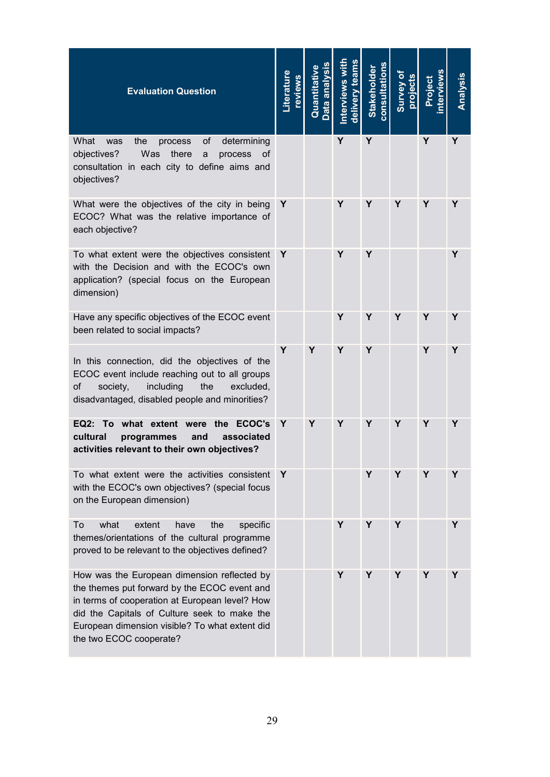| <b>Evaluation Question</b>                                                                                                                                                                                                                                                 | Literature<br>eviews |   | delivery team<br>nterviews | <b>Stakeholder</b><br>consultation |   | <b>roject</b> | Analysis |
|----------------------------------------------------------------------------------------------------------------------------------------------------------------------------------------------------------------------------------------------------------------------------|----------------------|---|----------------------------|------------------------------------|---|---------------|----------|
| What<br>the<br>οf<br>determining<br>was<br>process<br>Was<br>objectives?<br>there<br>process<br>a<br>0t<br>consultation in each city to define aims and<br>objectives?                                                                                                     |                      |   | Y                          | Y                                  |   | Y             | Y        |
| What were the objectives of the city in being<br>ECOC? What was the relative importance of<br>each objective?                                                                                                                                                              | Y                    |   | Υ                          | Υ                                  | Y | Y             | Y        |
| To what extent were the objectives consistent<br>with the Decision and with the ECOC's own<br>application? (special focus on the European<br>dimension)                                                                                                                    | Y                    |   | Υ                          | Υ                                  |   |               | Υ        |
| Have any specific objectives of the ECOC event<br>been related to social impacts?                                                                                                                                                                                          |                      |   | Y                          | Υ                                  | Y | Υ             | Y        |
| In this connection, did the objectives of the<br>ECOC event include reaching out to all groups<br>οf<br>society,<br>including<br>the<br>excluded.<br>disadvantaged, disabled people and minorities?                                                                        | Y                    | Y | Y                          | Y                                  |   | Y             | Υ        |
| EQ2: To what extent were<br>the ECOC's<br>cultural<br>associated<br>programmes<br>and<br>activities relevant to their own objectives?                                                                                                                                      | Y                    | Y | Y                          | Y                                  | Υ | Y             | Y        |
| To what extent were the activities consistent<br>with the ECOC's own objectives? (special focus<br>on the European dimension)                                                                                                                                              | Y                    |   |                            | Y                                  | Y | Y             | Y        |
| what<br>To<br>extent<br>have<br>the<br>specific<br>themes/orientations of the cultural programme<br>proved to be relevant to the objectives defined?                                                                                                                       |                      |   | Υ                          | Υ                                  | Y |               | Y        |
| How was the European dimension reflected by<br>the themes put forward by the ECOC event and<br>in terms of cooperation at European level? How<br>did the Capitals of Culture seek to make the<br>European dimension visible? To what extent did<br>the two ECOC cooperate? |                      |   | Y                          | Υ                                  | Y | Y             | Υ        |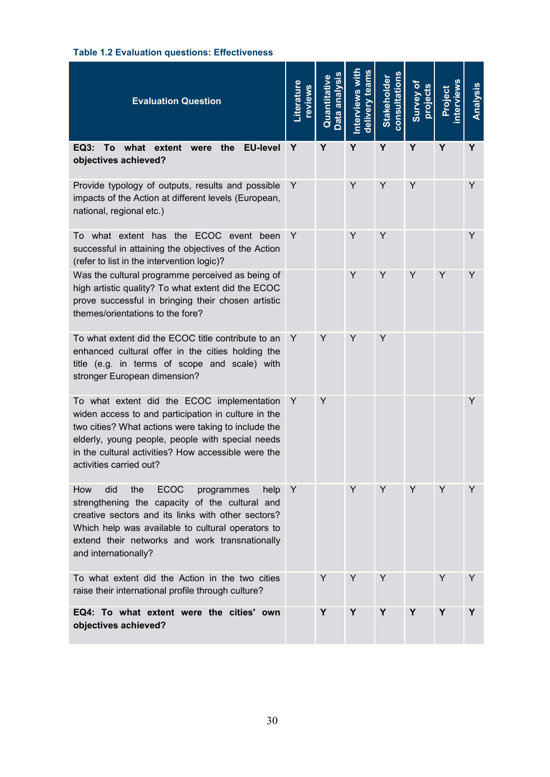## **Table 1.2 Evaluation questions: Effectiveness**

| <b>Evaluation Question</b>                                                                                                                                                                                                                                                                     | _iterature<br>reviews | Data analysis<br>Quantitative | erviews | consultation<br><b>Stakeholde</b> | Survey of<br>orojects | <u>ت</u><br>ھ | Analysis |
|------------------------------------------------------------------------------------------------------------------------------------------------------------------------------------------------------------------------------------------------------------------------------------------------|-----------------------|-------------------------------|---------|-----------------------------------|-----------------------|---------------|----------|
| To what extent were<br><b>EU-level</b><br><b>EQ3:</b><br>the<br>objectives achieved?                                                                                                                                                                                                           | Υ                     | Y                             | Υ       | Y                                 | Y                     | Y             | Y        |
| Provide typology of outputs, results and possible<br>impacts of the Action at different levels (European,<br>national, regional etc.)                                                                                                                                                          | Y                     |                               | Y       | Y                                 | Y                     |               | Y        |
| To what extent has the ECOC event been<br>successful in attaining the objectives of the Action<br>(refer to list in the intervention logic)?                                                                                                                                                   | Y                     |                               | Y       | Y                                 |                       |               | Y        |
| Was the cultural programme perceived as being of<br>high artistic quality? To what extent did the ECOC<br>prove successful in bringing their chosen artistic<br>themes/orientations to the fore?                                                                                               |                       |                               | Y       | Y                                 | Y                     | Y             | Y        |
| To what extent did the ECOC title contribute to an<br>enhanced cultural offer in the cities holding the<br>title (e.g. in terms of scope and scale) with<br>stronger European dimension?                                                                                                       | Y                     | Y                             | Y       | Y                                 |                       |               |          |
| To what extent did the ECOC implementation<br>widen access to and participation in culture in the<br>two cities? What actions were taking to include the<br>elderly, young people, people with special needs<br>in the cultural activities? How accessible were the<br>activities carried out? | Y                     | Y                             |         |                                   |                       |               | Y        |
| <b>ECOC</b><br>How<br>did<br>the<br>programmes<br>help<br>strengthening the capacity of the cultural and<br>creative sectors and its links with other sectors?<br>Which help was available to cultural operators to<br>extend their networks and work transnationally<br>and internationally?  | Y                     |                               | Y       | Y                                 | Y                     | Y             | Y        |
| To what extent did the Action in the two cities<br>raise their international profile through culture?                                                                                                                                                                                          |                       | Y                             | Y       | Y                                 |                       | Y             | Y        |
| EQ4: To what extent were the cities' own<br>objectives achieved?                                                                                                                                                                                                                               |                       | Y                             | Y       | Y                                 | Y                     | Y             | Y        |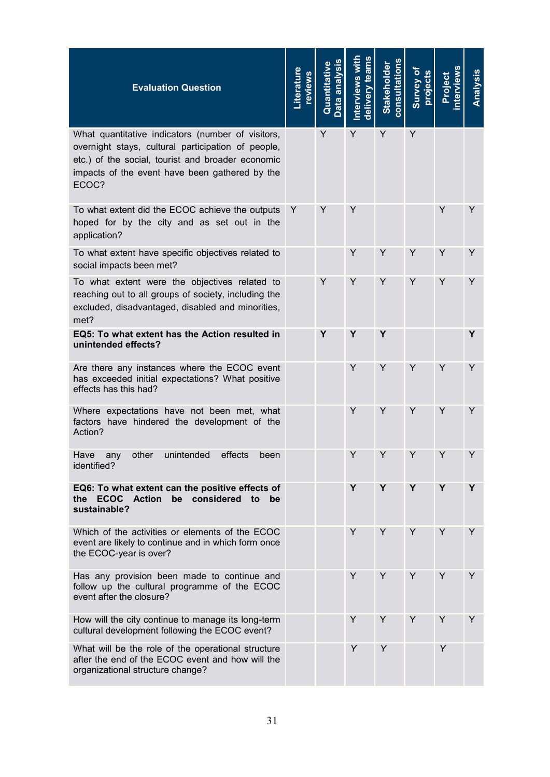| <b>Evaluation Question</b>                                                                                                                                                                                              | _iterature<br>reviews | Data analysis<br>Quantitative | nterviews wit<br>team | consultations<br><b>Stakeholder</b> | Survey of<br>projects | oject | Analysis |
|-------------------------------------------------------------------------------------------------------------------------------------------------------------------------------------------------------------------------|-----------------------|-------------------------------|-----------------------|-------------------------------------|-----------------------|-------|----------|
| What quantitative indicators (number of visitors,<br>overnight stays, cultural participation of people,<br>etc.) of the social, tourist and broader economic<br>impacts of the event have been gathered by the<br>ECOC? |                       | Y                             | Y                     | Y                                   | Y                     |       |          |
| To what extent did the ECOC achieve the outputs<br>hoped for by the city and as set out in the<br>application?                                                                                                          | Y                     | Y                             | Y                     |                                     |                       | Y     | Y        |
| To what extent have specific objectives related to<br>social impacts been met?                                                                                                                                          |                       |                               | Y                     | Y                                   | Y                     | Y     | Y        |
| To what extent were the objectives related to<br>reaching out to all groups of society, including the<br>excluded, disadvantaged, disabled and minorities,<br>met?                                                      |                       | Y                             | Y                     | Y                                   | Y                     | Y     | Y        |
| EQ5: To what extent has the Action resulted in<br>unintended effects?                                                                                                                                                   |                       | Y                             | Y                     | Y                                   |                       |       | Y        |
| Are there any instances where the ECOC event<br>has exceeded initial expectations? What positive<br>effects has this had?                                                                                               |                       |                               | Y                     | Y                                   | Y                     | Y     | Y        |
| Where expectations have not been met, what<br>factors have hindered the development of the<br>Action?                                                                                                                   |                       |                               | Y                     | Y                                   | Y                     | Y     | Y        |
| unintended<br>Have<br>other<br>effects<br>been<br>any<br>identified?                                                                                                                                                    |                       |                               | Y                     | Y                                   | Y                     | Y     | Y        |
| EQ6: To what extent can the positive effects of<br>be considered<br><b>ECOC</b><br><b>Action</b><br>the<br>to<br>be<br>sustainable?                                                                                     |                       |                               | Y                     | Y                                   | Y                     | Y     | Y        |
| Which of the activities or elements of the ECOC<br>event are likely to continue and in which form once<br>the ECOC-year is over?                                                                                        |                       |                               | Y                     | Y                                   | Y                     | Y     | Y        |
| Has any provision been made to continue and<br>follow up the cultural programme of the ECOC<br>event after the closure?                                                                                                 |                       |                               | Y                     | Υ                                   | Y                     | Y     | Y        |
| How will the city continue to manage its long-term<br>cultural development following the ECOC event?                                                                                                                    |                       |                               | Y                     | Y                                   | Y                     | Y     | Y        |
| What will be the role of the operational structure<br>after the end of the ECOC event and how will the<br>organizational structure change?                                                                              |                       |                               | Y                     | Y                                   |                       | Y     |          |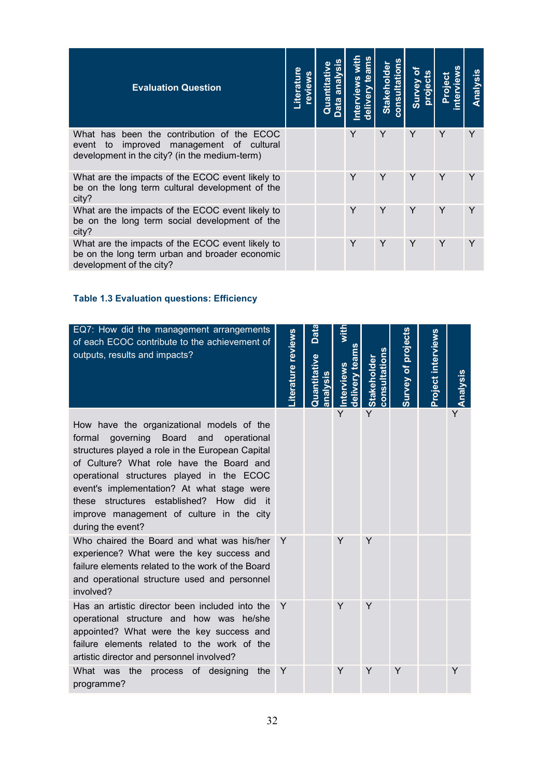| <b>Evaluation Question</b>                                                                                                                 | <b>Literatu</b><br>weive. | ິທິ<br>Quantitativ<br>analy<br>Data | Ī<br><b>Interviews</b><br>deliver | <b>consultations</b><br><b>Stakeholder</b> | ৳<br>projects<br>Survey | Project | <u>Analysis</u> |
|--------------------------------------------------------------------------------------------------------------------------------------------|---------------------------|-------------------------------------|-----------------------------------|--------------------------------------------|-------------------------|---------|-----------------|
| What has been the contribution of the ECOC<br>improved management of cultural<br>event to<br>development in the city? (in the medium-term) |                           |                                     | Υ                                 | Y                                          | Υ                       | Υ       | Y               |
| What are the impacts of the ECOC event likely to<br>be on the long term cultural development of the<br>city?                               |                           |                                     | Y                                 | Y                                          | Y                       | Υ       | Y               |
| What are the impacts of the ECOC event likely to<br>be on the long term social development of the<br>city?                                 |                           |                                     | Y                                 | Υ                                          | Y                       | Υ       |                 |
| What are the impacts of the ECOC event likely to<br>be on the long term urban and broader economic<br>development of the city?             |                           |                                     | Y                                 | Y                                          | Y                       | Y       | Υ               |

### **Table 1.3 Evaluation questions: Efficiency**

| EQ7: How did the management arrangements<br>of each ECOC contribute to the achievement of<br>outputs, results and impacts?                                                                                                                                                                                                                                                                              | terature reviews | Data<br>uantitative<br>$rac{2}{9}$ | delivery team<br>nterviews | <b>consultations</b><br><b>Stakeholder</b> | Survey of projects | Project interviews | nalysis |
|---------------------------------------------------------------------------------------------------------------------------------------------------------------------------------------------------------------------------------------------------------------------------------------------------------------------------------------------------------------------------------------------------------|------------------|------------------------------------|----------------------------|--------------------------------------------|--------------------|--------------------|---------|
| How have the organizational models of the<br>governing Board and<br>formal<br>operational<br>structures played a role in the European Capital<br>of Culture? What role have the Board and<br>operational structures played in the ECOC<br>event's implementation? At what stage were<br>these structures established? How did<br>— it<br>improve management of culture in the city<br>during the event? |                  |                                    | Y                          | Y                                          |                    |                    |         |
| Who chaired the Board and what was his/her<br>experience? What were the key success and<br>failure elements related to the work of the Board<br>and operational structure used and personnel<br>involved?                                                                                                                                                                                               | Y                |                                    | Y                          | Y                                          |                    |                    |         |
| Has an artistic director been included into the<br>operational structure and how was he/she<br>appointed? What were the key success and<br>failure elements related to the work of the<br>artistic director and personnel involved?                                                                                                                                                                     | Y                |                                    | Y                          | Y                                          |                    |                    |         |
| What was the process of designing<br>the<br>programme?                                                                                                                                                                                                                                                                                                                                                  | Y                |                                    | Y                          | Y                                          | Y                  |                    | Y       |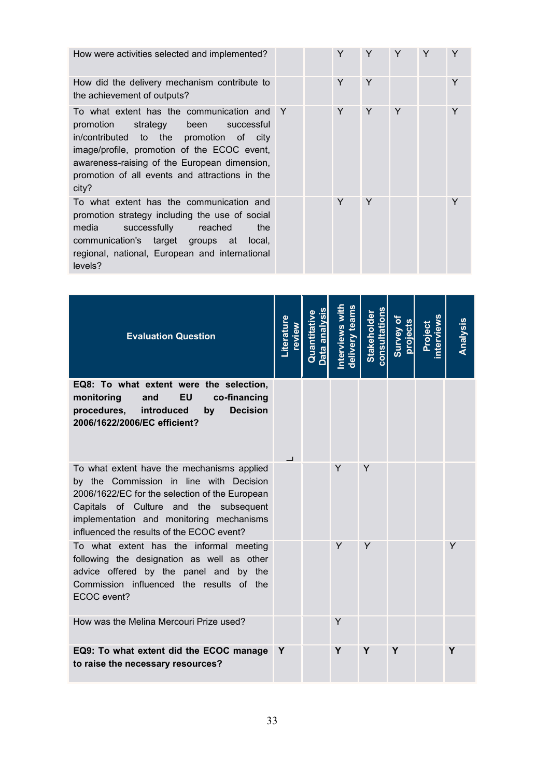How were activities selected and implemented?

How did the delivery mechanism contribute to the achievement of outputs?

To what extent has the communication and promotion strategy been successful in/contributed to the promotion of city image/profile, promotion of the ECOC event, awareness-raising of the European dimension, promotion of all events and attractions in the city?

To what extent has the communication and promotion strategy including the use of social media successfully reached the communication's target groups at local, regional, national, European and international levels?

|   | $\sf Y$ | Y           | Y | Y | $\mathsf Y$ |
|---|---------|-------------|---|---|-------------|
|   | Y       | Y           |   |   | Y           |
| Y | Y       | Y           | Y |   | Y           |
|   | $\sf Y$ | $\mathsf Y$ |   |   | Y           |

| <b>Evaluation Question</b>                                                                                                                                                                                                                                                 | iterature<br>weive | Quantitative<br>an | delivery teams<br><b>nterviews w</b> | <b>Stakeholder</b><br>onsultation | Survey of<br>orojects | oject | Analysis |
|----------------------------------------------------------------------------------------------------------------------------------------------------------------------------------------------------------------------------------------------------------------------------|--------------------|--------------------|--------------------------------------|-----------------------------------|-----------------------|-------|----------|
| EQ8: To what extent were the selection,<br><b>EU</b><br>co-financing<br>monitoring<br>and<br>introduced<br><b>Decision</b><br>procedures,<br>by<br>2006/1622/2006/EC efficient?                                                                                            |                    |                    |                                      |                                   |                       |       |          |
| To what extent have the mechanisms applied<br>by the Commission in line with Decision<br>2006/1622/EC for the selection of the European<br>Capitals of Culture and the subsequent<br>implementation and monitoring mechanisms<br>influenced the results of the ECOC event? |                    |                    | Y                                    | Y                                 |                       |       |          |
| To what extent has the informal meeting<br>following the designation as well as other<br>advice offered by the panel and by the<br>Commission influenced the results<br>of the<br>ECOC event?                                                                              |                    |                    | Y                                    | Y                                 |                       |       | Y        |
| How was the Melina Mercouri Prize used?                                                                                                                                                                                                                                    |                    |                    | Y                                    |                                   |                       |       |          |
| EQ9: To what extent did the ECOC manage<br>to raise the necessary resources?                                                                                                                                                                                               | Y                  |                    | Υ                                    | Y                                 | Y                     |       | Υ        |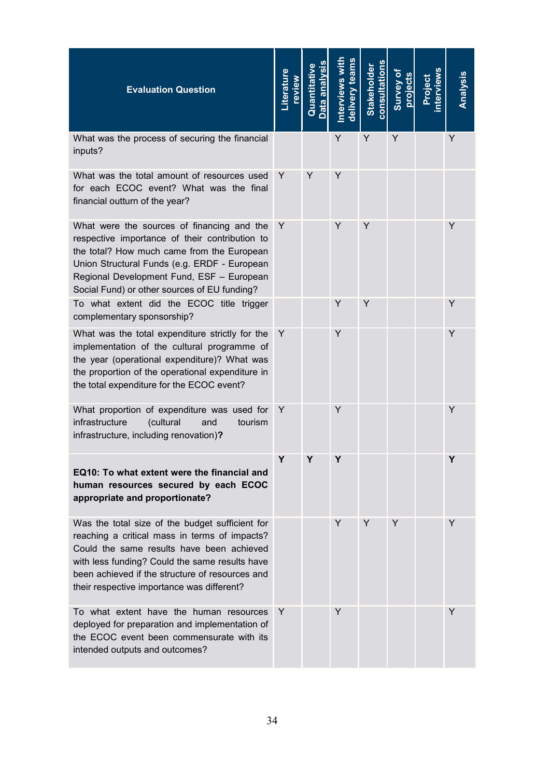| <b>Evaluation Question</b>                                                                                                                                                                                                                                                                       | <b>iterature</b><br>weive | Quantitative | d <u>elivery</u> teams<br>nterviews | <b>Stakeholder</b><br>consultation | Survey of<br>project | swəlvlə:<br>ioeio. | <u>Analysis</u> |
|--------------------------------------------------------------------------------------------------------------------------------------------------------------------------------------------------------------------------------------------------------------------------------------------------|---------------------------|--------------|-------------------------------------|------------------------------------|----------------------|--------------------|-----------------|
| What was the process of securing the financial<br>inputs?                                                                                                                                                                                                                                        |                           |              | Υ                                   | Y                                  | Υ                    |                    | Y               |
| What was the total amount of resources used<br>for each ECOC event? What was the final<br>financial outturn of the year?                                                                                                                                                                         | Y                         | Υ            | Y                                   |                                    |                      |                    |                 |
| What were the sources of financing and the<br>respective importance of their contribution to<br>the total? How much came from the European<br>Union Structural Funds (e.g. ERDF - European<br>Regional Development Fund, ESF - European<br>Social Fund) or other sources of EU funding?          | Y                         |              | Y                                   | Y                                  |                      |                    | Y               |
| To what extent did the ECOC title trigger<br>complementary sponsorship?                                                                                                                                                                                                                          |                           |              | Y                                   | Y                                  |                      |                    | Y               |
| What was the total expenditure strictly for the<br>implementation of the cultural programme of<br>the year (operational expenditure)? What was<br>the proportion of the operational expenditure in<br>the total expenditure for the ECOC event?                                                  | Y                         |              | Y                                   |                                    |                      |                    | Y               |
| What proportion of expenditure was used for<br>infrastructure<br>(cultural<br>and<br>tourism<br>infrastructure, including renovation)?                                                                                                                                                           | Y                         |              | Y                                   |                                    |                      |                    | Y               |
| EQ10: To what extent were the financial and<br>human resources secured by each ECOC<br>appropriate and proportionate?                                                                                                                                                                            | Υ                         | Υ            | Y                                   |                                    |                      |                    | Y               |
| Was the total size of the budget sufficient for<br>reaching a critical mass in terms of impacts?<br>Could the same results have been achieved<br>with less funding? Could the same results have<br>been achieved if the structure of resources and<br>their respective importance was different? |                           |              | Y                                   | Y                                  | Y                    |                    | Y               |
| To what extent have the human resources<br>deployed for preparation and implementation of<br>the ECOC event been commensurate with its<br>intended outputs and outcomes?                                                                                                                         | Y                         |              | Y                                   |                                    |                      |                    | Y               |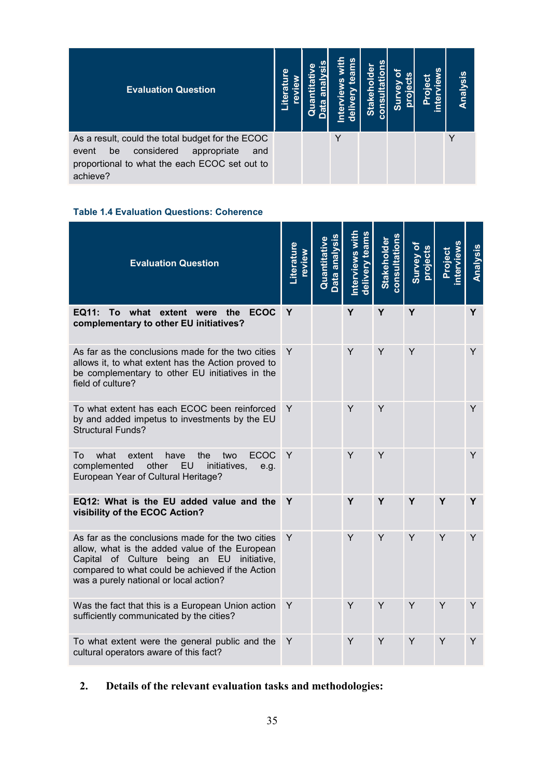| <b>Evaluation Question</b>                                                                                                                                       | Φ<br>ო<br>liter | uan | <u>ဖ</u> | Stal<br>ë | <u>o</u><br>ūδ | $\circ$ | Analysis |
|------------------------------------------------------------------------------------------------------------------------------------------------------------------|-----------------|-----|----------|-----------|----------------|---------|----------|
| As a result, could the total budget for the ECOC<br>considered<br>appropriate<br>be<br>and<br>event<br>proportional to what the each ECOC set out to<br>achieve? |                 |     |          |           |                |         |          |

## **Table 1.4 Evaluation Questions: Coherence**

| <b>Evaluation Question</b>                                                                                                                                                                                                                      | Literature<br>review | uantitativ | Interviews with<br>delivery teams | <b>consultations</b><br><b>Stakeholder</b> | Survey of<br>projects | oject | Analysis |
|-------------------------------------------------------------------------------------------------------------------------------------------------------------------------------------------------------------------------------------------------|----------------------|------------|-----------------------------------|--------------------------------------------|-----------------------|-------|----------|
| <b>EQ11:</b><br>To what extent were<br><b>ECOC</b><br>the<br>complementary to other EU initiatives?                                                                                                                                             | Y                    |            | Y                                 | Y                                          | Y                     |       | Y        |
| As far as the conclusions made for the two cities<br>allows it, to what extent has the Action proved to<br>be complementary to other EU initiatives in the<br>field of culture?                                                                 | Y                    |            | Y                                 | Y                                          | Y                     |       | Y        |
| To what extent has each ECOC been reinforced<br>by and added impetus to investments by the EU<br><b>Structural Funds?</b>                                                                                                                       | Y                    |            | Y                                 | Y                                          |                       |       | Y        |
| <b>ECOC</b><br>To<br>what<br>extent<br>have<br>the<br>two<br>other<br>EU<br>complemented<br>initiatives,<br>e.g.<br>European Year of Cultural Heritage?                                                                                         | Y                    |            | Y                                 | Y                                          |                       |       | Y        |
| EQ12: What is the EU added value and the<br>visibility of the ECOC Action?                                                                                                                                                                      | Y                    |            | Υ                                 | Y                                          | Y                     | Y     | Y        |
| As far as the conclusions made for the two cities<br>allow, what is the added value of the European<br>Capital of Culture being an EU initiative,<br>compared to what could be achieved if the Action<br>was a purely national or local action? | Y                    |            | Y                                 | Y                                          | Y                     | Y     | Y        |
| Was the fact that this is a European Union action<br>sufficiently communicated by the cities?                                                                                                                                                   | Y                    |            | Y                                 | Y                                          | Y                     | Y     | Y        |
| To what extent were the general public and the<br>cultural operators aware of this fact?                                                                                                                                                        | Y                    |            | Y                                 | Y                                          | Y                     | Y     | Y        |

# **2. Details of the relevant evaluation tasks and methodologies:**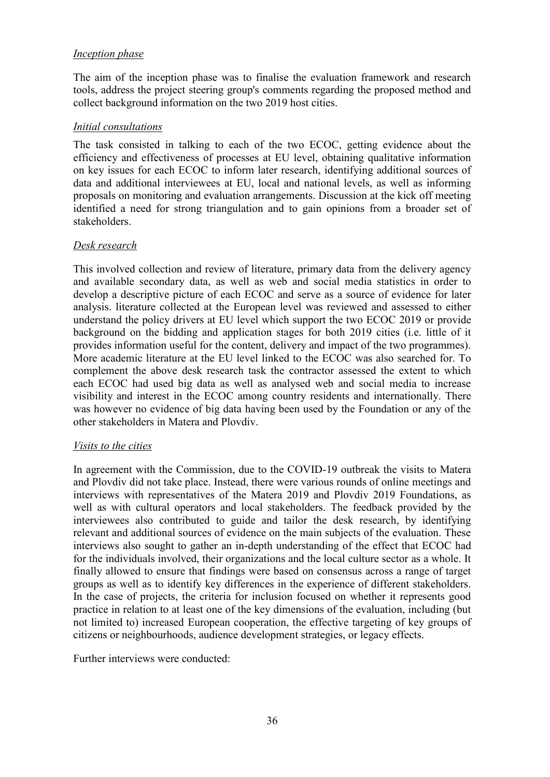## *Inception phase*

The aim of the inception phase was to finalise the evaluation framework and research tools, address the project steering group's comments regarding the proposed method and collect background information on the two 2019 host cities.

### *Initial consultations*

The task consisted in talking to each of the two ECOC, getting evidence about the efficiency and effectiveness of processes at EU level, obtaining qualitative information on key issues for each ECOC to inform later research, identifying additional sources of data and additional interviewees at EU, local and national levels, as well as informing proposals on monitoring and evaluation arrangements. Discussion at the kick off meeting identified a need for strong triangulation and to gain opinions from a broader set of stakeholders.

### *Desk research*

This involved collection and review of literature, primary data from the delivery agency and available secondary data, as well as web and social media statistics in order to develop a descriptive picture of each ECOC and serve as a source of evidence for later analysis. literature collected at the European level was reviewed and assessed to either understand the policy drivers at EU level which support the two ECOC 2019 or provide background on the bidding and application stages for both 2019 cities (i.e. little of it provides information useful for the content, delivery and impact of the two programmes). More academic literature at the EU level linked to the ECOC was also searched for. To complement the above desk research task the contractor assessed the extent to which each ECOC had used big data as well as analysed web and social media to increase visibility and interest in the ECOC among country residents and internationally. There was however no evidence of big data having been used by the Foundation or any of the other stakeholders in Matera and Plovdiv.

#### *Visits to the cities*

In agreement with the Commission, due to the COVID-19 outbreak the visits to Matera and Plovdiv did not take place. Instead, there were various rounds of online meetings and interviews with representatives of the Matera 2019 and Plovdiv 2019 Foundations, as well as with cultural operators and local stakeholders. The feedback provided by the interviewees also contributed to guide and tailor the desk research, by identifying relevant and additional sources of evidence on the main subjects of the evaluation. These interviews also sought to gather an in-depth understanding of the effect that ECOC had for the individuals involved, their organizations and the local culture sector as a whole. It finally allowed to ensure that findings were based on consensus across a range of target groups as well as to identify key differences in the experience of different stakeholders. In the case of projects, the criteria for inclusion focused on whether it represents good practice in relation to at least one of the key dimensions of the evaluation, including (but not limited to) increased European cooperation, the effective targeting of key groups of citizens or neighbourhoods, audience development strategies, or legacy effects.

Further interviews were conducted: